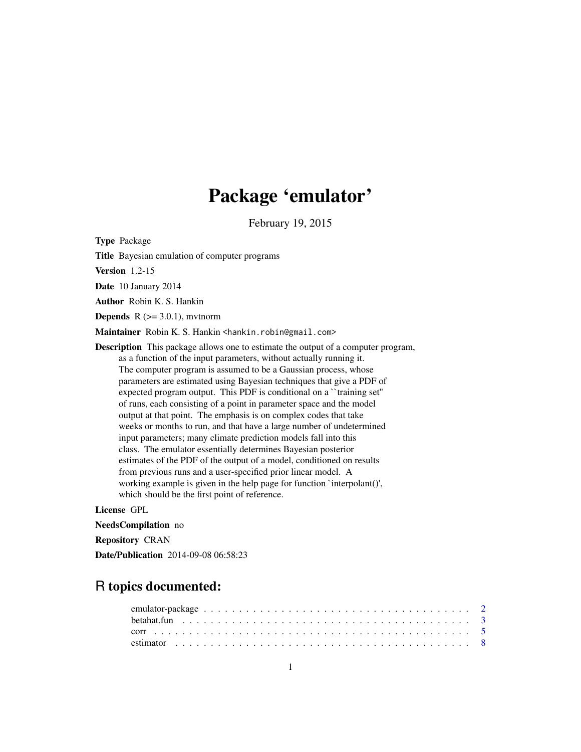## Package 'emulator'

February 19, 2015

<span id="page-0-0"></span>Type Package

Title Bayesian emulation of computer programs

Version 1.2-15

Date 10 January 2014

Author Robin K. S. Hankin

**Depends**  $R$  ( $> = 3.0.1$ ), mythorm

Maintainer Robin K. S. Hankin <hankin.robin@gmail.com>

Description This package allows one to estimate the output of a computer program, as a function of the input parameters, without actually running it. The computer program is assumed to be a Gaussian process, whose parameters are estimated using Bayesian techniques that give a PDF of expected program output. This PDF is conditional on a ``training set'' of runs, each consisting of a point in parameter space and the model output at that point. The emphasis is on complex codes that take weeks or months to run, and that have a large number of undetermined input parameters; many climate prediction models fall into this class. The emulator essentially determines Bayesian posterior estimates of the PDF of the output of a model, conditioned on results from previous runs and a user-specified prior linear model. A working example is given in the help page for function `interpolant()', which should be the first point of reference.

License GPL

NeedsCompilation no Repository CRAN Date/Publication 2014-09-08 06:58:23

## R topics documented: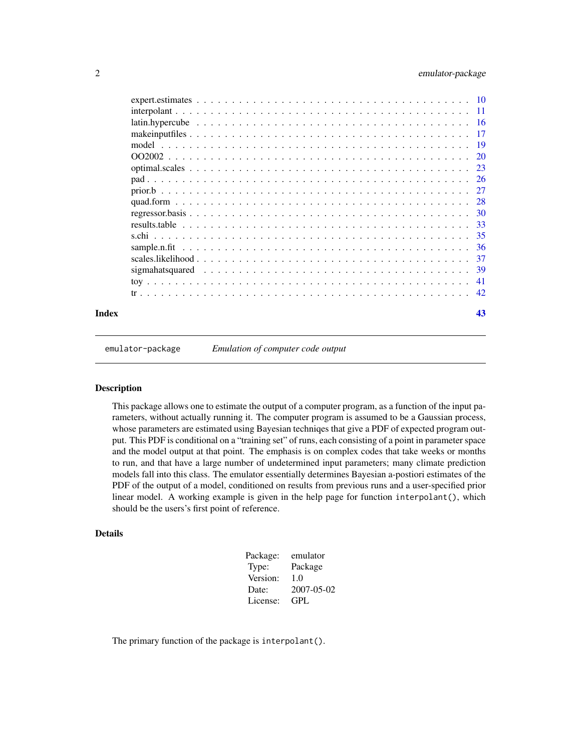<span id="page-1-0"></span>

| model |     |
|-------|-----|
|       |     |
|       |     |
|       |     |
|       |     |
|       |     |
|       |     |
|       |     |
|       |     |
|       |     |
|       |     |
|       |     |
|       |     |
|       | -42 |
|       | 43  |

emulator-package *Emulation of computer code output*

#### Description

This package allows one to estimate the output of a computer program, as a function of the input parameters, without actually running it. The computer program is assumed to be a Gaussian process, whose parameters are estimated using Bayesian techniqes that give a PDF of expected program output. This PDF is conditional on a "training set" of runs, each consisting of a point in parameter space and the model output at that point. The emphasis is on complex codes that take weeks or months to run, and that have a large number of undetermined input parameters; many climate prediction models fall into this class. The emulator essentially determines Bayesian a-postiori estimates of the PDF of the output of a model, conditioned on results from previous runs and a user-specified prior linear model. A working example is given in the help page for function interpolant(), which should be the users's first point of reference.

#### Details

| Package: | emulator   |
|----------|------------|
| Type:    | Package    |
| Version: | 1.0        |
| Date:    | 2007-05-02 |
| License: | GPL.       |

The primary function of the package is interpolant().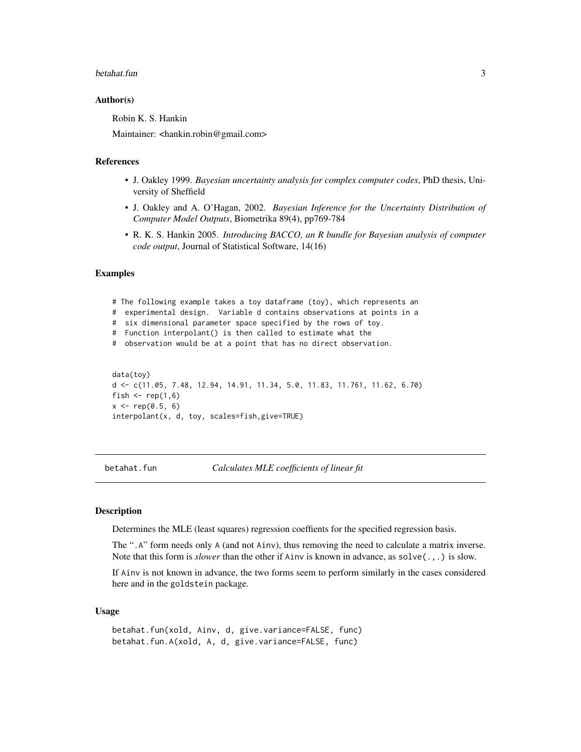#### <span id="page-2-0"></span>betahat.fun 3

#### Author(s)

Robin K. S. Hankin

Maintainer: <hankin.robin@gmail.com>

### References

- J. Oakley 1999. *Bayesian uncertainty analysis for complex computer codes*, PhD thesis, University of Sheffield
- J. Oakley and A. O'Hagan, 2002. *Bayesian Inference for the Uncertainty Distribution of Computer Model Outputs*, Biometrika 89(4), pp769-784
- R. K. S. Hankin 2005. *Introducing BACCO, an R bundle for Bayesian analysis of computer code output*, Journal of Statistical Software, 14(16)

#### Examples

```
# The following example takes a toy dataframe (toy), which represents an
# experimental design. Variable d contains observations at points in a
# six dimensional parameter space specified by the rows of toy.
# Function interpolant() is then called to estimate what the
# observation would be at a point that has no direct observation.
data(toy)
d <- c(11.05, 7.48, 12.94, 14.91, 11.34, 5.0, 11.83, 11.761, 11.62, 6.70)
fish \le rep(1,6)
x \leq -rep(0.5, 6)
```
interpolant(x, d, toy, scales=fish,give=TRUE)

betahat.fun *Calculates MLE coefficients of linear fit*

## Description

Determines the MLE (least squares) regression coeffients for the specified regression basis.

The ".A" form needs only A (and not Ainv), thus removing the need to calculate a matrix inverse. Note that this form is *slower* than the other if Ainv is known in advance, as solve(.,.) is slow.

If Ainv is not known in advance, the two forms seem to perform similarly in the cases considered here and in the goldstein package.

#### Usage

```
betahat.fun(xold, Ainv, d, give.variance=FALSE, func)
betahat.fun.A(xold, A, d, give.variance=FALSE, func)
```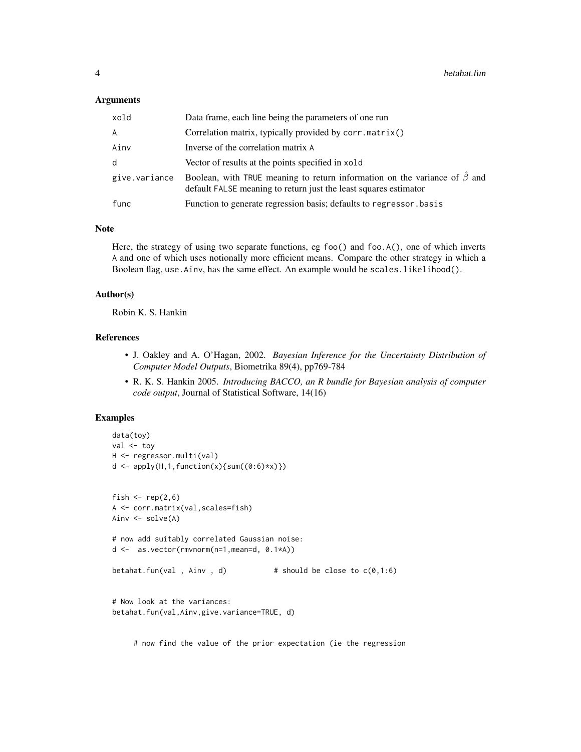#### **Arguments**

| xold          | Data frame, each line being the parameters of one run                                                                                               |
|---------------|-----------------------------------------------------------------------------------------------------------------------------------------------------|
| A             | Correlation matrix, typically provided by corr.matrix()                                                                                             |
| Ainv          | Inverse of the correlation matrix A                                                                                                                 |
| d             | Vector of results at the points specified in xold                                                                                                   |
| give.variance | Boolean, with TRUE meaning to return information on the variance of $\beta$ and<br>default FALSE meaning to return just the least squares estimator |
| func          | Function to generate regression basis; defaults to regressor basis                                                                                  |

#### Note

Here, the strategy of using two separate functions, eg foo() and foo.A(), one of which inverts A and one of which uses notionally more efficient means. Compare the other strategy in which a Boolean flag, use.Ainv, has the same effect. An example would be scales.likelihood().

#### Author(s)

Robin K. S. Hankin

#### References

- J. Oakley and A. O'Hagan, 2002. *Bayesian Inference for the Uncertainty Distribution of Computer Model Outputs*, Biometrika 89(4), pp769-784
- R. K. S. Hankin 2005. *Introducing BACCO, an R bundle for Bayesian analysis of computer code output*, Journal of Statistical Software, 14(16)

## Examples

```
data(toy)
val <- toy
H <- regressor.multi(val)
d \leftarrow apply(H, 1, function(x) \{sum((0:6)*x)\})fish \leftarrow rep(2,6)
A <- corr.matrix(val,scales=fish)
Ainv <- solve(A)
# now add suitably correlated Gaussian noise:
d <- as.vector(rmvnorm(n=1,mean=d, 0.1*A))
betahat.fun(val , Ainv , d) \# should be close to c(0,1:6)# Now look at the variances:
betahat.fun(val,Ainv,give.variance=TRUE, d)
```
# now find the value of the prior expectation (ie the regression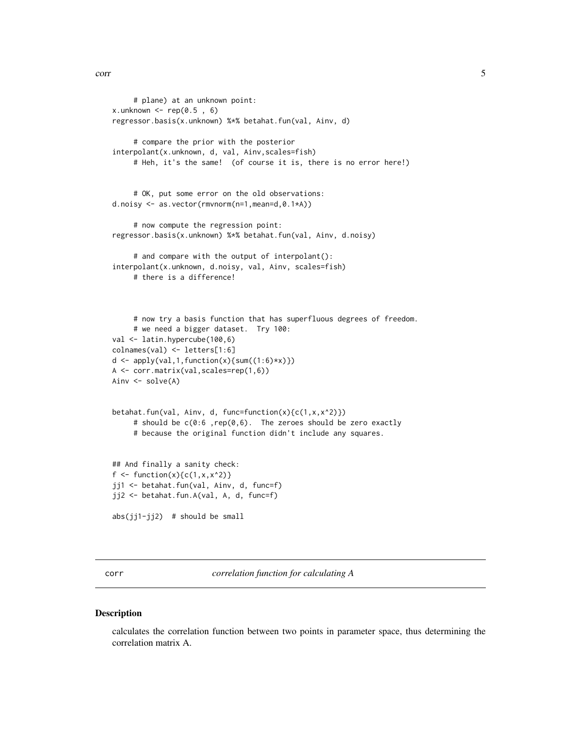```
# plane) at an unknown point:
x.unknown \leq rep(0.5, 6)
regressor.basis(x.unknown) %*% betahat.fun(val, Ainv, d)
     # compare the prior with the posterior
interpolant(x.unknown, d, val, Ainv,scales=fish)
     # Heh, it's the same! (of course it is, there is no error here!)
     # OK, put some error on the old observations:
d.noisy <- as.vector(rmvnorm(n=1,mean=d,0.1*A))
     # now compute the regression point:
regressor.basis(x.unknown) %*% betahat.fun(val, Ainv, d.noisy)
     # and compare with the output of interpolant():
interpolant(x.unknown, d.noisy, val, Ainv, scales=fish)
     # there is a difference!
     # now try a basis function that has superfluous degrees of freedom.
     # we need a bigger dataset. Try 100:
val <- latin.hypercube(100,6)
colnames(val) <- letters[1:6]
d \leftarrow apply(val, 1, function(x) \{sum(1:6) * x)\})A <- corr.matrix(val,scales=rep(1,6))
Ainv <- solve(A)
betahat.fun(val, Ainv, d, func=function(x){c(1,x,x^2)})
     # should be c(0:6 ,rep(0,6). The zeroes should be zero exactly
     # because the original function didn't include any squares.
## And finally a sanity check:
f <- function(x){c(1, x, x^2)}
jj1 <- betahat.fun(val, Ainv, d, func=f)
jj2 <- betahat.fun.A(val, A, d, func=f)
abs(jj1-jj2) # should be small
```
<span id="page-4-1"></span>corr *correlation function for calculating A*

#### Description

calculates the correlation function between two points in parameter space, thus determining the correlation matrix A.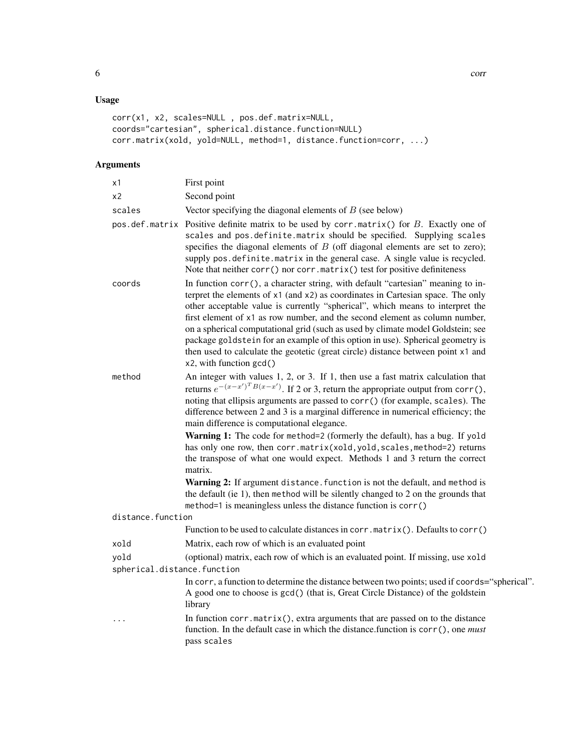## Usage

```
corr(x1, x2, scales=NULL , pos.def.matrix=NULL,
coords="cartesian", spherical.distance.function=NULL)
corr.matrix(xold, yold=NULL, method=1, distance.function=corr, ...)
```
## Arguments

| x1                                  | First point                                                                                                                                                                                                                                                                                                                                                                                                                                                                                                                                                                                                                                                                                                                                                                                                                                                                               |
|-------------------------------------|-------------------------------------------------------------------------------------------------------------------------------------------------------------------------------------------------------------------------------------------------------------------------------------------------------------------------------------------------------------------------------------------------------------------------------------------------------------------------------------------------------------------------------------------------------------------------------------------------------------------------------------------------------------------------------------------------------------------------------------------------------------------------------------------------------------------------------------------------------------------------------------------|
| x2                                  | Second point                                                                                                                                                                                                                                                                                                                                                                                                                                                                                                                                                                                                                                                                                                                                                                                                                                                                              |
| scales                              | Vector specifying the diagonal elements of $B$ (see below)                                                                                                                                                                                                                                                                                                                                                                                                                                                                                                                                                                                                                                                                                                                                                                                                                                |
|                                     | pos. def. matrix Positive definite matrix to be used by corr. matrix() for $B$ . Exactly one of<br>scales and pos.definite.matrix should be specified. Supplying scales<br>specifies the diagonal elements of $B$ (off diagonal elements are set to zero);<br>supply pos.definite.matrix in the general case. A single value is recycled.<br>Note that neither corr() nor corr.matrix() test for positive definiteness                                                                                                                                                                                                                                                                                                                                                                                                                                                                    |
| coords                              | In function corr(), a character string, with default "cartesian" meaning to in-<br>terpret the elements of x1 (and x2) as coordinates in Cartesian space. The only<br>other acceptable value is currently "spherical", which means to interpret the<br>first element of x1 as row number, and the second element as column number,<br>on a spherical computational grid (such as used by climate model Goldstein; see<br>package goldstein for an example of this option in use). Spherical geometry is<br>then used to calculate the geotetic (great circle) distance between point x1 and<br>x2, with function gcd()                                                                                                                                                                                                                                                                    |
| method                              | An integer with values 1, 2, or 3. If 1, then use a fast matrix calculation that<br>returns $e^{-(x-x')^T B(x-x')}$ . If 2 or 3, return the appropriate output from corr(),<br>noting that ellipsis arguments are passed to corr() (for example, scales). The<br>difference between 2 and 3 is a marginal difference in numerical efficiency; the<br>main difference is computational elegance.<br>Warning 1: The code for method=2 (formerly the default), has a bug. If yold<br>has only one row, then corr.matrix(xold, yold, scales, method=2) returns<br>the transpose of what one would expect. Methods 1 and 3 return the correct<br>matrix.<br>Warning 2: If argument distance. function is not the default, and method is<br>the default (ie 1), then method will be silently changed to 2 on the grounds that<br>method=1 is meaningless unless the distance function is corr() |
| distance.function                   |                                                                                                                                                                                                                                                                                                                                                                                                                                                                                                                                                                                                                                                                                                                                                                                                                                                                                           |
|                                     | Function to be used to calculate distances in corr.matrix(). Defaults to corr()                                                                                                                                                                                                                                                                                                                                                                                                                                                                                                                                                                                                                                                                                                                                                                                                           |
| xold                                | Matrix, each row of which is an evaluated point                                                                                                                                                                                                                                                                                                                                                                                                                                                                                                                                                                                                                                                                                                                                                                                                                                           |
| yold<br>spherical.distance.function | (optional) matrix, each row of which is an evaluated point. If missing, use xold                                                                                                                                                                                                                                                                                                                                                                                                                                                                                                                                                                                                                                                                                                                                                                                                          |
|                                     | In corr, a function to determine the distance between two points; used if coords="spherical".<br>A good one to choose is gcd() (that is, Great Circle Distance) of the goldstein<br>library                                                                                                                                                                                                                                                                                                                                                                                                                                                                                                                                                                                                                                                                                               |
| $\cdot$                             | In function $corr$ . matrix(), extra arguments that are passed on to the distance<br>function. In the default case in which the distance.function is corr(), one must<br>pass scales                                                                                                                                                                                                                                                                                                                                                                                                                                                                                                                                                                                                                                                                                                      |
|                                     |                                                                                                                                                                                                                                                                                                                                                                                                                                                                                                                                                                                                                                                                                                                                                                                                                                                                                           |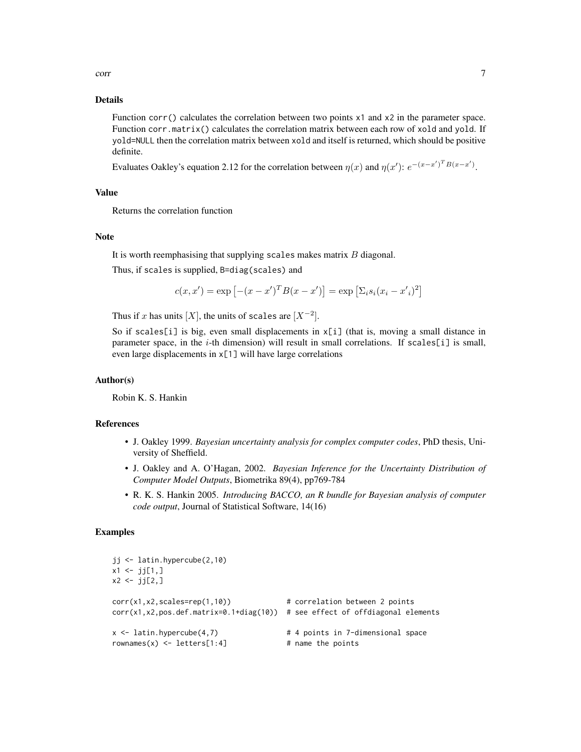corr 7 and 2008 and 2008 and 2008 and 2008 and 2008 and 2008 and 2008 and 2008 and 2008 and 2008 and 2008 and 2008 and 2008 and 2008 and 2008 and 2008 and 2008 and 2008 and 2008 and 2008 and 2008 and 2008 and 2008 and 2008

#### Details

Function corr() calculates the correlation between two points x1 and x2 in the parameter space. Function corr.matrix() calculates the correlation matrix between each row of xold and yold. If yold=NULL then the correlation matrix between xold and itself is returned, which should be positive definite.

Evaluates Oakley's equation 2.12 for the correlation between  $\eta(x)$  and  $\eta(x')$ :  $e^{-(x-x')^T B(x-x')}$ .

#### Value

Returns the correlation function

#### Note

It is worth reemphasising that supplying scales makes matrix  $B$  diagonal.

Thus, if scales is supplied, B=diag(scales) and

$$
c(x, x') = \exp [-(x - x')^{T} B(x - x')] = \exp \left[\sum_{i} s_{i} (x_{i} - x')^{2}\right]
$$

Thus if x has units  $[X]$ , the units of scales are  $[X^{-2}]$ .

So if scales[i] is big, even small displacements in  $x[i]$  (that is, moving a small distance in parameter space, in the i-th dimension) will result in small correlations. If scales[i] is small, even large displacements in x[1] will have large correlations

#### Author(s)

Robin K. S. Hankin

#### References

- J. Oakley 1999. *Bayesian uncertainty analysis for complex computer codes*, PhD thesis, University of Sheffield.
- J. Oakley and A. O'Hagan, 2002. *Bayesian Inference for the Uncertainty Distribution of Computer Model Outputs*, Biometrika 89(4), pp769-784
- R. K. S. Hankin 2005. *Introducing BACCO, an R bundle for Bayesian analysis of computer code output*, Journal of Statistical Software, 14(16)

```
jj <- latin.hypercube(2,10)
x1 \leftarrow j[1,]x2 < - jj[2,]
corr(x1,x2,scales=rep(1,10)) # correlation between 2 points
corr(x1,x2,pos.def.matrix=0.1+diag(10)) # see effect of offdiagonal elements
x \le latin.hypercube(4,7) \qquad # 4 points in 7-dimensional space
rownames(x) \le letters[1:4] # name the points
```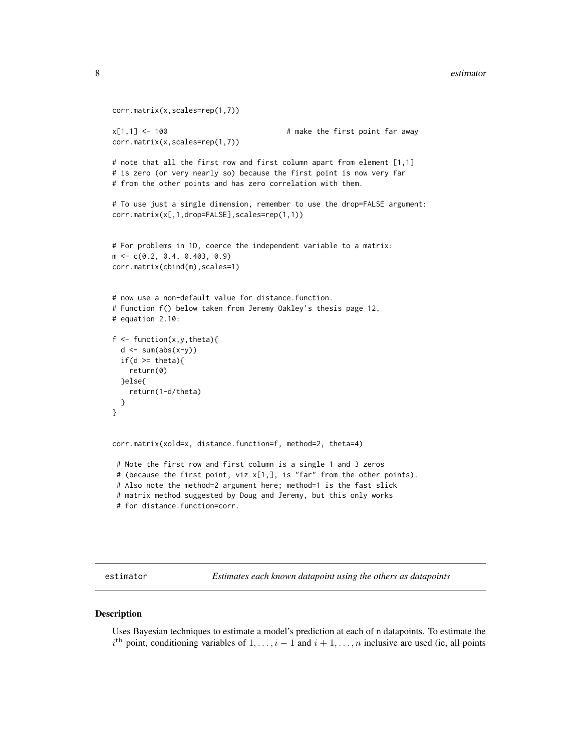#### <span id="page-7-0"></span>8 estimator estimator estimator estimator estimator estimator estimator estimator estimator estimator estimator estimator estimator estimator estimator estimator estimator estimator estimator estimator estimator estimator

```
corr.matrix(x,scales=rep(1,7))
x[1,1] <- 100 x[1,1] <- 100
corr.matrix(x,scales=rep(1,7))
# note that all the first row and first column apart from element [1,1]
# is zero (or very nearly so) because the first point is now very far
# from the other points and has zero correlation with them.
# To use just a single dimension, remember to use the drop=FALSE argument:
corr.matrix(x[,1,drop=FALSE],scales=rep(1,1))
# For problems in 1D, coerce the independent variable to a matrix:
m <- c(0.2, 0.4, 0.403, 0.9)
corr.matrix(cbind(m),scales=1)
# now use a non-default value for distance.function.
# Function f() below taken from Jeremy Oakley's thesis page 12,
# equation 2.10:
f \leftarrow function(x, y, theta){
 d \leftarrow sum(abs(x-y))if(d >= theta){
   return(0)
 }else{
   return(1-d/theta)
 }
}
corr.matrix(xold=x, distance.function=f, method=2, theta=4)
 # Note the first row and first column is a single 1 and 3 zeros
# (because the first point, viz x[1,], is "far" from the other points).
 # Also note the method=2 argument here; method=1 is the fast slick
 # matrix method suggested by Doug and Jeremy, but this only works
 # for distance.function=corr.
```
estimator *Estimates each known datapoint using the others as datapoints*

#### **Description**

Uses Bayesian techniques to estimate a model's prediction at each of n datapoints. To estimate the  $i<sup>th</sup>$  point, conditioning variables of  $1, \ldots, i-1$  and  $i+1, \ldots, n$  inclusive are used (ie, all points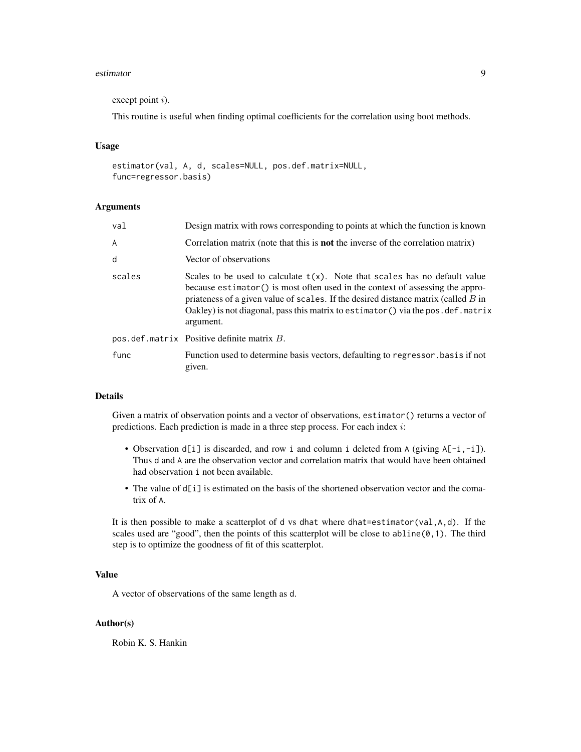#### estimator 9

```
except point i).
```
This routine is useful when finding optimal coefficients for the correlation using boot methods.

#### Usage

```
estimator(val, A, d, scales=NULL, pos.def.matrix=NULL,
func=regressor.basis)
```
#### Arguments

| val    | Design matrix with rows corresponding to points at which the function is known                                                                                                                                                                                                                                                                             |
|--------|------------------------------------------------------------------------------------------------------------------------------------------------------------------------------------------------------------------------------------------------------------------------------------------------------------------------------------------------------------|
| A      | Correlation matrix (note that this is <b>not</b> the inverse of the correlation matrix)                                                                                                                                                                                                                                                                    |
| d      | Vector of observations                                                                                                                                                                                                                                                                                                                                     |
| scales | Scales to be used to calculate $t(x)$ . Note that scales has no default value<br>because estimator () is most often used in the context of assessing the appro-<br>priateness of a given value of scales. If the desired distance matrix (called $B$ in<br>Oakley) is not diagonal, pass this matrix to estimator () via the pos. def. matrix<br>argument. |
|        | $pos. def.matrix$ Positive definite matrix $B$ .                                                                                                                                                                                                                                                                                                           |
| func   | Function used to determine basis vectors, defaulting to regressor basis if not<br>given.                                                                                                                                                                                                                                                                   |

#### Details

Given a matrix of observation points and a vector of observations, estimator() returns a vector of predictions. Each prediction is made in a three step process. For each index i:

- Observation  $d[i]$  is discarded, and row i and column i deleted from A (giving  $A[-i,-i]$ ). Thus d and A are the observation vector and correlation matrix that would have been obtained had observation i not been available.
- The value of  $d[i]$  is estimated on the basis of the shortened observation vector and the comatrix of A.

It is then possible to make a scatterplot of d vs dhat where dhat=estimator(val,A,d). If the scales used are "good", then the points of this scatterplot will be close to abline(0,1). The third step is to optimize the goodness of fit of this scatterplot.

## Value

A vector of observations of the same length as d.

#### Author(s)

Robin K. S. Hankin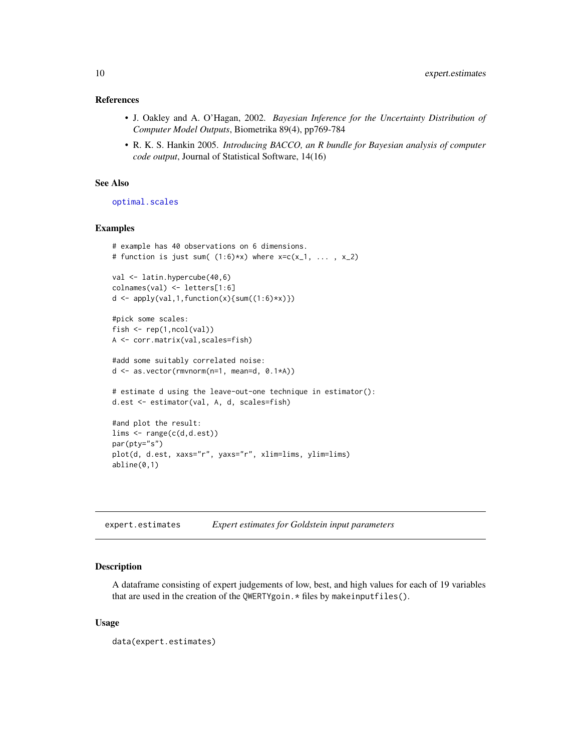#### <span id="page-9-0"></span>References

- J. Oakley and A. O'Hagan, 2002. *Bayesian Inference for the Uncertainty Distribution of Computer Model Outputs*, Biometrika 89(4), pp769-784
- R. K. S. Hankin 2005. *Introducing BACCO, an R bundle for Bayesian analysis of computer code output*, Journal of Statistical Software, 14(16)

## See Also

[optimal.scales](#page-22-1)

#### Examples

```
# example has 40 observations on 6 dimensions.
# function is just sum((1:6)*x) where x=c(x_1, \ldots, x_2)val <- latin.hypercube(40,6)
colnames(val) <- letters[1:6]
d \leftarrow apply(val, 1, function(x) \{sum(1:6) * x)\})#pick some scales:
fish <- rep(1,ncol(val))
A <- corr.matrix(val,scales=fish)
#add some suitably correlated noise:
d <- as.vector(rmvnorm(n=1, mean=d, 0.1*A))
# estimate d using the leave-out-one technique in estimator():
d.est <- estimator(val, A, d, scales=fish)
#and plot the result:
lims <- range(c(d,d.est))
par(pty="s")
plot(d, d.est, xaxs="r", yaxs="r", xlim=lims, ylim=lims)
abline(0,1)
```
<span id="page-9-1"></span>expert.estimates *Expert estimates for Goldstein input parameters*

#### Description

A dataframe consisting of expert judgements of low, best, and high values for each of 19 variables that are used in the creation of the QWERTYgoin. \* files by makeinputfiles().

#### Usage

data(expert.estimates)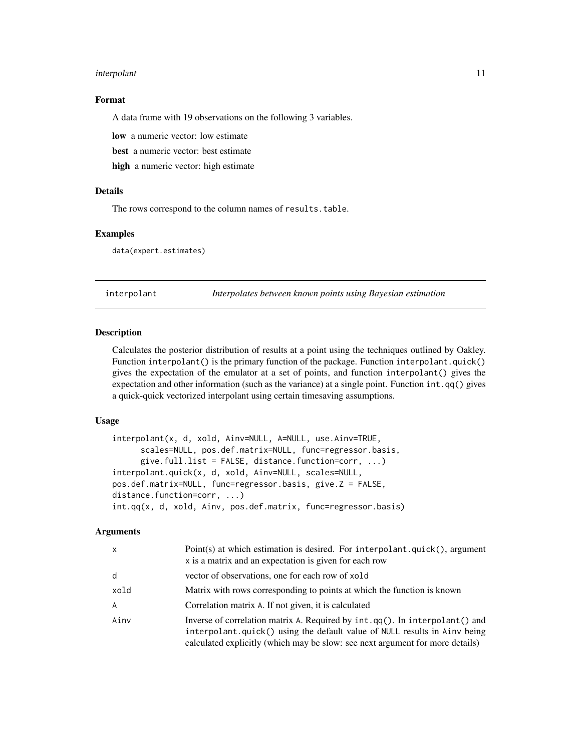#### <span id="page-10-0"></span>interpolant 11

#### Format

A data frame with 19 observations on the following 3 variables.

low a numeric vector: low estimate

best a numeric vector: best estimate

high a numeric vector: high estimate

## Details

The rows correspond to the column names of results.table.

## Examples

data(expert.estimates)

<span id="page-10-1"></span>interpolant *Interpolates between known points using Bayesian estimation*

#### Description

Calculates the posterior distribution of results at a point using the techniques outlined by Oakley. Function interpolant() is the primary function of the package. Function interpolant.quick() gives the expectation of the emulator at a set of points, and function interpolant() gives the expectation and other information (such as the variance) at a single point. Function int.qq() gives a quick-quick vectorized interpolant using certain timesaving assumptions.

#### Usage

```
interpolant(x, d, xold, Ainv=NULL, A=NULL, use.Ainv=TRUE,
      scales=NULL, pos.def.matrix=NULL, func=regressor.basis,
      give.full.list = FALSE, distance.function=corr, \ldots)
interpolant.quick(x, d, xold, Ainv=NULL, scales=NULL,
pos.def.matrix=NULL, func=regressor.basis, give.Z = FALSE,
distance.function=corr, ...)
int.qq(x, d, xold, Ainv, pos.def.matrix, func=regressor.basis)
```
## **Arguments**

| X    | Point(s) at which estimation is desired. For interpolant.quick(), argument<br>x is a matrix and an expectation is given for each row                                                                                                      |
|------|-------------------------------------------------------------------------------------------------------------------------------------------------------------------------------------------------------------------------------------------|
| d    | vector of observations, one for each row of xold                                                                                                                                                                                          |
| xold | Matrix with rows corresponding to points at which the function is known                                                                                                                                                                   |
| A    | Correlation matrix A. If not given, it is calculated                                                                                                                                                                                      |
| Ainv | Inverse of correlation matrix A. Required by int.qq(). In interpolant() and<br>interpolant.quick() using the default value of NULL results in Ainv being<br>calculated explicitly (which may be slow: see next argument for more details) |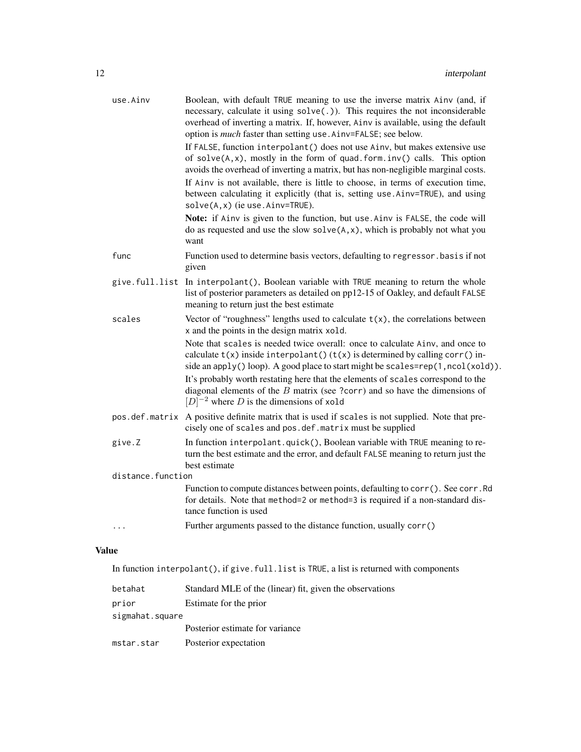| use.Ainv          | Boolean, with default TRUE meaning to use the inverse matrix Ainv (and, if<br>necessary, calculate it using solve(.)). This requires the not inconsiderable<br>overhead of inverting a matrix. If, however, Ainv is available, using the default<br>option is <i>much</i> faster than setting use. Ainv=FALSE; see below. |
|-------------------|---------------------------------------------------------------------------------------------------------------------------------------------------------------------------------------------------------------------------------------------------------------------------------------------------------------------------|
|                   | If FALSE, function interpolant () does not use Ainv, but makes extensive use<br>of $solve(A, x)$ , mostly in the form of quad. form. $inv()$ calls. This option<br>avoids the overhead of inverting a matrix, but has non-negligible marginal costs.                                                                      |
|                   | If Ainv is not available, there is little to choose, in terms of execution time,<br>between calculating it explicitly (that is, setting use Ainv=TRUE), and using<br>$solve(A, x)$ (ie use. Ainv=TRUE).                                                                                                                   |
|                   | Note: if Ainv is given to the function, but use. Ainv is FALSE, the code will<br>do as requested and use the slow $solve(A, x)$ , which is probably not what you<br>want                                                                                                                                                  |
| func              | Function used to determine basis vectors, defaulting to regressor . basis if not<br>given                                                                                                                                                                                                                                 |
|                   | give.full.list In interpolant(), Boolean variable with TRUE meaning to return the whole<br>list of posterior parameters as detailed on pp12-15 of Oakley, and default FALSE<br>meaning to return just the best estimate                                                                                                   |
| scales            | Vector of "roughness" lengths used to calculate $t(x)$ , the correlations between<br>x and the points in the design matrix xold.                                                                                                                                                                                          |
|                   | Note that scales is needed twice overall: once to calculate Ainv, and once to<br>calculate $t(x)$ inside interpolant() $(t(x))$ is determined by calling corr() in-<br>side an apply() loop). A good place to start might be scales=rep(1, ncol(xold)).                                                                   |
|                   | It's probably worth restating here that the elements of scales correspond to the<br>diagonal elements of the $B$ matrix (see ?corr) and so have the dimensions of<br>$[D]^{-2}$ where D is the dimensions of xold                                                                                                         |
| pos.def.matrix    | A positive definite matrix that is used if scales is not supplied. Note that pre-<br>cisely one of scales and pos.def.matrix must be supplied                                                                                                                                                                             |
| give.Z            | In function interpolant.quick(), Boolean variable with TRUE meaning to re-<br>turn the best estimate and the error, and default FALSE meaning to return just the<br>best estimate                                                                                                                                         |
| distance.function |                                                                                                                                                                                                                                                                                                                           |
|                   | Function to compute distances between points, defaulting to corr(). See corr. Rd<br>for details. Note that method=2 or method=3 is required if a non-standard dis-<br>tance function is used                                                                                                                              |
| .                 | Further arguments passed to the distance function, usually corr()                                                                                                                                                                                                                                                         |

## Value

In function interpolant(), if give.full.list is TRUE, a list is returned with components

| betahat         | Standard MLE of the (linear) fit, given the observations |
|-----------------|----------------------------------------------------------|
| prior           | Estimate for the prior                                   |
| sigmahat.square |                                                          |
|                 | Posterior estimate for variance                          |
| mstar.star      | Posterior expectation                                    |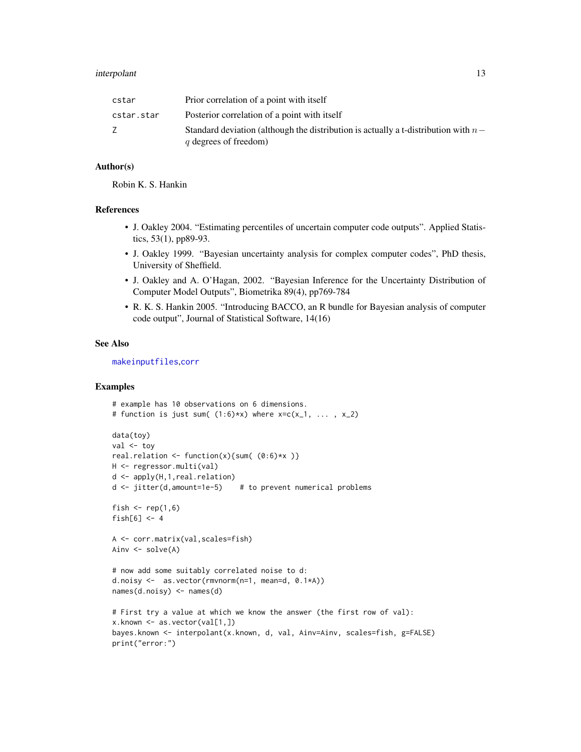#### <span id="page-12-0"></span>interpolant 13

| cstar      | Prior correlation of a point with itself                                                                      |
|------------|---------------------------------------------------------------------------------------------------------------|
| cstar.star | Posterior correlation of a point with itself                                                                  |
|            | Standard deviation (although the distribution is actually a t-distribution with $n-$<br>q degrees of freedom) |

### Author(s)

Robin K. S. Hankin

#### References

- J. Oakley 2004. "Estimating percentiles of uncertain computer code outputs". Applied Statistics, 53(1), pp89-93.
- J. Oakley 1999. "Bayesian uncertainty analysis for complex computer codes", PhD thesis, University of Sheffield.
- J. Oakley and A. O'Hagan, 2002. "Bayesian Inference for the Uncertainty Distribution of Computer Model Outputs", Biometrika 89(4), pp769-784
- R. K. S. Hankin 2005. "Introducing BACCO, an R bundle for Bayesian analysis of computer code output", Journal of Statistical Software, 14(16)

#### See Also

[makeinputfiles](#page-16-1),[corr](#page-4-1)

```
# example has 10 observations on 6 dimensions.
# function is just sum((1:6)*x) where x=c(x_1, \ldots, x_2)data(toy)
val <- toy
real.relation \left\{ \text{function}(x) \right\} sum( (0:6)*x )
H <- regressor.multi(val)
d <- apply(H,1,real.relation)
d <- jitter(d,amount=1e-5) # to prevent numerical problems
fish \le rep(1,6)
fish[6] < -4A <- corr.matrix(val,scales=fish)
Ainv <- solve(A)
# now add some suitably correlated noise to d:
d.noisy <- as.vector(rmvnorm(n=1, mean=d, 0.1*A))
names(d.noisy) <- names(d)
# First try a value at which we know the answer (the first row of val):
x.known <- as.vector(val[1,])
bayes.known <- interpolant(x.known, d, val, Ainv=Ainv, scales=fish, g=FALSE)
print("error:")
```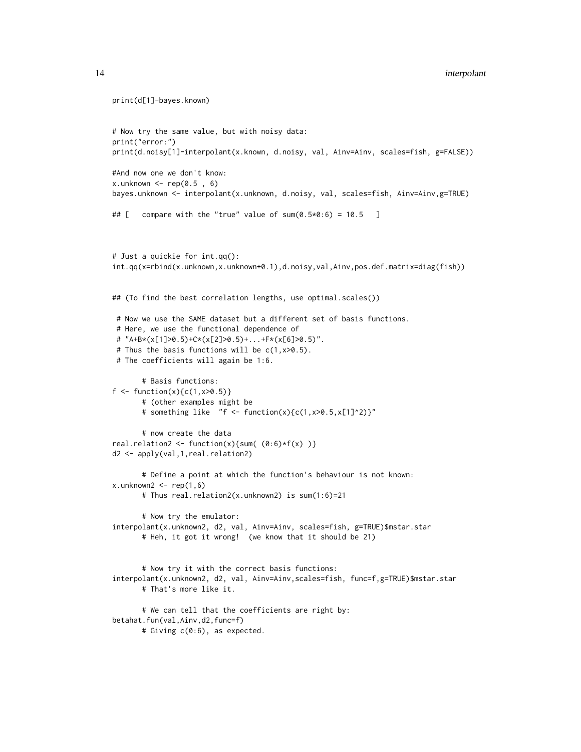```
print(d[1]-bayes.known)
# Now try the same value, but with noisy data:
print("error:")
print(d.noisy[1]-interpolant(x.known, d.noisy, val, Ainv=Ainv, scales=fish, g=FALSE))
#And now one we don't know:
x.unknown \leq rep(0.5, 6)
bayes.unknown <- interpolant(x.unknown, d.noisy, val, scales=fish, Ainv=Ainv,g=TRUE)
## [ compare with the "true" value of sum(0.5*0:6) = 10.5 ]
# Just a quickie for int.qq():
int.qq(x=rbind(x.unknown,x.unknown+0.1),d.noisy,val,Ainv,pos.def.matrix=diag(fish))
## (To find the best correlation lengths, use optimal.scales())
# Now we use the SAME dataset but a different set of basis functions.
# Here, we use the functional dependence of
# "A+B*(x[1]>0.5)+C*(x[2]>0.5)+...+F*(x[6]>0.5)".
# Thus the basis functions will be c(1, x>0.5).
# The coefficients will again be 1:6.
      # Basis functions:
f \leftarrow function(x) {c(1, x > 0.5)}# (other examples might be
      # something like "f <- function(x){c(1, x>0.5, x[1]^2)}"
      # now create the data
real.relation2 <- function(x){sum((0:6)*f(x))}
d2 <- apply(val,1,real.relation2)
      # Define a point at which the function's behaviour is not known:
x.unknown2 < - rep(1, 6)# Thus real.relation2(x.unknown2) is sum(1:6)=21
      # Now try the emulator:
interpolant(x.unknown2, d2, val, Ainv=Ainv, scales=fish, g=TRUE)$mstar.star
      # Heh, it got it wrong! (we know that it should be 21)
      # Now try it with the correct basis functions:
interpolant(x.unknown2, d2, val, Ainv=Ainv,scales=fish, func=f,g=TRUE)$mstar.star
      # That's more like it.
      # We can tell that the coefficients are right by:
betahat.fun(val,Ainv,d2,func=f)
      # Giving c(0:6), as expected.
```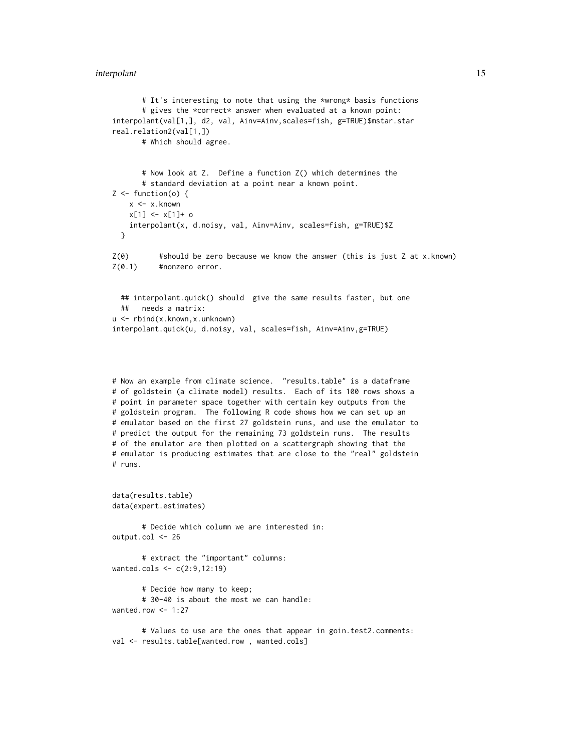#### interpolant 15

```
# It's interesting to note that using the *wrong* basis functions
      # gives the *correct* answer when evaluated at a known point:
interpolant(val[1,], d2, val, Ainv=Ainv,scales=fish, g=TRUE)$mstar.star
real.relation2(val[1,])
      # Which should agree.
      # Now look at Z. Define a function Z() which determines the
      # standard deviation at a point near a known point.
Z \leftarrow function(o) {
    x <- x.known
   x[1] <- x[1]+ o
    interpolant(x, d.noisy, val, Ainv=Ainv, scales=fish, g=TRUE)$Z
 }
Z(0) #should be zero because we know the answer (this is just Z at x.known)
Z(0.1) #nonzero error.
 ## interpolant.quick() should give the same results faster, but one
 ## needs a matrix:
u <- rbind(x.known,x.unknown)
interpolant.quick(u, d.noisy, val, scales=fish, Ainv=Ainv,g=TRUE)
# Now an example from climate science. "results.table" is a dataframe
# of goldstein (a climate model) results. Each of its 100 rows shows a
# point in parameter space together with certain key outputs from the
# goldstein program. The following R code shows how we can set up an
# emulator based on the first 27 goldstein runs, and use the emulator to
# predict the output for the remaining 73 goldstein runs. The results
# of the emulator are then plotted on a scattergraph showing that the
# emulator is producing estimates that are close to the "real" goldstein
# runs.
data(results.table)
data(expert.estimates)
      # Decide which column we are interested in:
output.col <- 26
      # extract the "important" columns:
wanted.cols <- c(2:9,12:19)
      # Decide how many to keep;
      # 30-40 is about the most we can handle:
wanted.row \leq -1:27
```
# Values to use are the ones that appear in goin.test2.comments: val <- results.table[wanted.row, wanted.cols]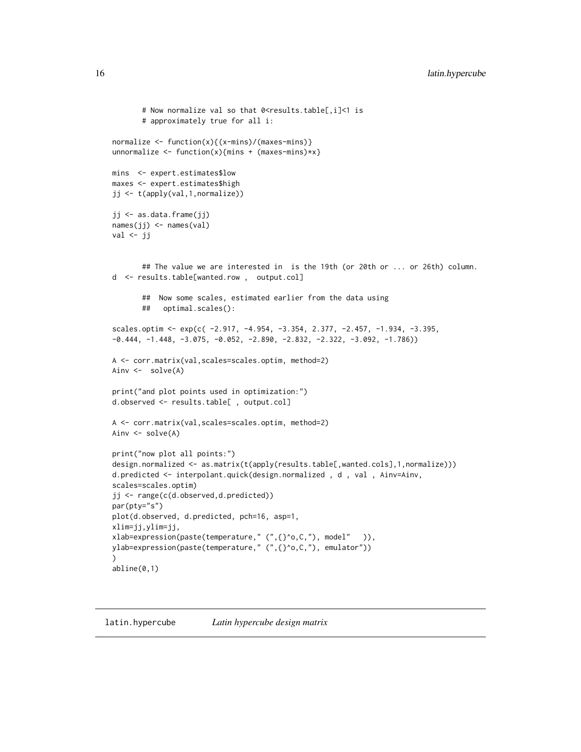```
# Now normalize val so that 0<results.table[,i]<1 is
       # approximately true for all i:
normalize <- function(x){(x-mins)/(maxes-mins)}
unnormalize \leq function(x){mins + (maxes-mins)*x}
mins <- expert.estimates$low
maxes <- expert.estimates$high
jj <- t(apply(val,1,normalize))
jj <- as.data.frame(jj)
names(jj) <- names(val)
val \leftarrow jj## The value we are interested in is the 19th (or 20th or ... or 26th) column.
d <- results.table[wanted.row , output.col]
       ## Now some scales, estimated earlier from the data using
       ## optimal.scales():
scales.optim <- exp(c( -2.917, -4.954, -3.354, 2.377, -2.457, -1.934, -3.395,
-0.444, -1.448, -3.075, -0.052, -2.890, -2.832, -2.322, -3.092, -1.786)A <- corr.matrix(val,scales=scales.optim, method=2)
Ainv <- solve(A)
print("and plot points used in optimization:")
d.observed <- results.table[ , output.col]
A <- corr.matrix(val,scales=scales.optim, method=2)
Ainv \leq solve(A)
print("now plot all points:")
design.normalized <- as.matrix(t(apply(results.table[,wanted.cols],1,normalize)))
d.predicted <- interpolant.quick(design.normalized , d , val , Ainv=Ainv,
scales=scales.optim)
jj <- range(c(d.observed,d.predicted))
par(pty="s")
plot(d.observed, d.predicted, pch=16, asp=1,
xlim=jj,ylim=jj,
xlab=expression(paste(temperature," (",{}^o,C,"), model" )),
ylab=expression(paste(temperature," (",{}^o,C,"), emulator"))
\lambdaabline(0,1)
```
#### latin.hypercube *Latin hypercube design matrix*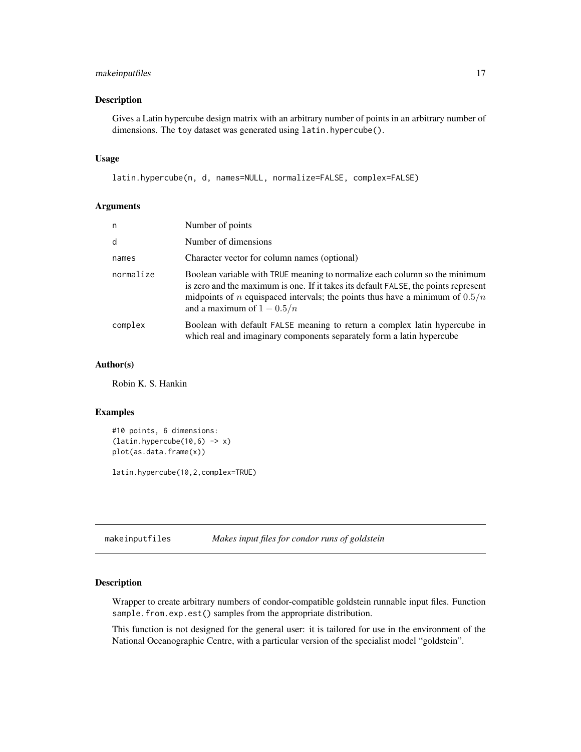## <span id="page-16-0"></span>makeinputfiles 17

## Description

Gives a Latin hypercube design matrix with an arbitrary number of points in an arbitrary number of dimensions. The toy dataset was generated using latin.hypercube().

#### Usage

```
latin.hypercube(n, d, names=NULL, normalize=FALSE, complex=FALSE)
```
#### Arguments

| n         | Number of points                                                                                                                                                                                                                                                                           |
|-----------|--------------------------------------------------------------------------------------------------------------------------------------------------------------------------------------------------------------------------------------------------------------------------------------------|
| d         | Number of dimensions                                                                                                                                                                                                                                                                       |
| names     | Character vector for column names (optional)                                                                                                                                                                                                                                               |
| normalize | Boolean variable with TRUE meaning to normalize each column so the minimum<br>is zero and the maximum is one. If it takes its default FALSE, the points represent<br>midpoints of <i>n</i> equispaced intervals; the points thus have a minimum of $0.5/n$<br>and a maximum of $1 - 0.5/n$ |
| complex   | Boolean with default FALSE meaning to return a complex latin hypercube in<br>which real and imaginary components separately form a latin hypercube                                                                                                                                         |

#### Author(s)

Robin K. S. Hankin

#### Examples

```
#10 points, 6 dimensions:
(latin.hypercube(10,6) \rightarrow x)plot(as.data.frame(x))
```
latin.hypercube(10,2,complex=TRUE)

<span id="page-16-1"></span>makeinputfiles *Makes input files for condor runs of goldstein*

#### Description

Wrapper to create arbitrary numbers of condor-compatible goldstein runnable input files. Function sample.from.exp.est() samples from the appropriate distribution.

This function is not designed for the general user: it is tailored for use in the environment of the National Oceanographic Centre, with a particular version of the specialist model "goldstein".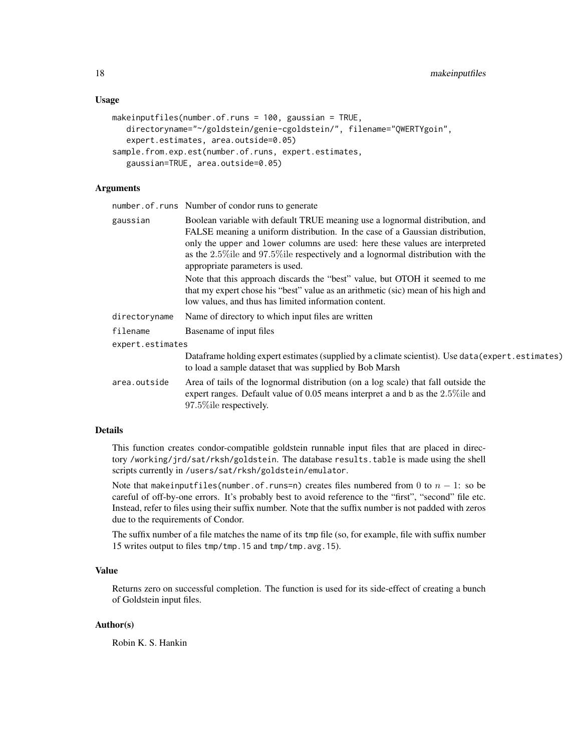#### Usage

```
makeinputfiles(number.of.runs = 100, gaussian = TRUE,
   directoryname="~/goldstein/genie-cgoldstein/", filename="QWERTYgoin",
   expert.estimates, area.outside=0.05)
sample.from.exp.est(number.of.runs, expert.estimates,
   gaussian=TRUE, area.outside=0.05)
```
## Arguments

number.of.runs Number of condor runs to generate

| gaussian         | Boolean variable with default TRUE meaning use a lognormal distribution, and<br>FALSE meaning a uniform distribution. In the case of a Gaussian distribution,                                                             |
|------------------|---------------------------------------------------------------------------------------------------------------------------------------------------------------------------------------------------------------------------|
|                  | only the upper and lower columns are used: here these values are interpreted<br>as the $2.5\%$ ile and 97.5% ile respectively and a lognormal distribution with the<br>appropriate parameters is used.                    |
|                  | Note that this approach discards the "best" value, but OTOH it seemed to me<br>that my expert chose his "best" value as an arithmetic (sic) mean of his high and<br>low values, and thus has limited information content. |
| directoryname    | Name of directory to which input files are written                                                                                                                                                                        |
| filename         | Basename of input files                                                                                                                                                                                                   |
| expert.estimates |                                                                                                                                                                                                                           |
|                  | Data frame holding expert estimates (supplied by a climate scientist). Use data (expert.estimates)<br>to load a sample dataset that was supplied by Bob Marsh                                                             |
| area.outside     | Area of tails of the lognormal distribution (on a log scale) that fall outside the<br>expert ranges. Default value of $0.05$ means interpret a and b as the $2.5\%$ ile and<br>97.5% ile respectively.                    |

#### Details

This function creates condor-compatible goldstein runnable input files that are placed in directory /working/jrd/sat/rksh/goldstein. The database results.table is made using the shell scripts currently in /users/sat/rksh/goldstein/emulator.

Note that makeinputfiles(number.of.runs=n) creates files numbered from 0 to  $n - 1$ : so be careful of off-by-one errors. It's probably best to avoid reference to the "first", "second" file etc. Instead, refer to files using their suffix number. Note that the suffix number is not padded with zeros due to the requirements of Condor.

The suffix number of a file matches the name of its tmp file (so, for example, file with suffix number 15 writes output to files tmp/tmp.15 and tmp/tmp.avg.15).

#### Value

Returns zero on successful completion. The function is used for its side-effect of creating a bunch of Goldstein input files.

#### Author(s)

Robin K. S. Hankin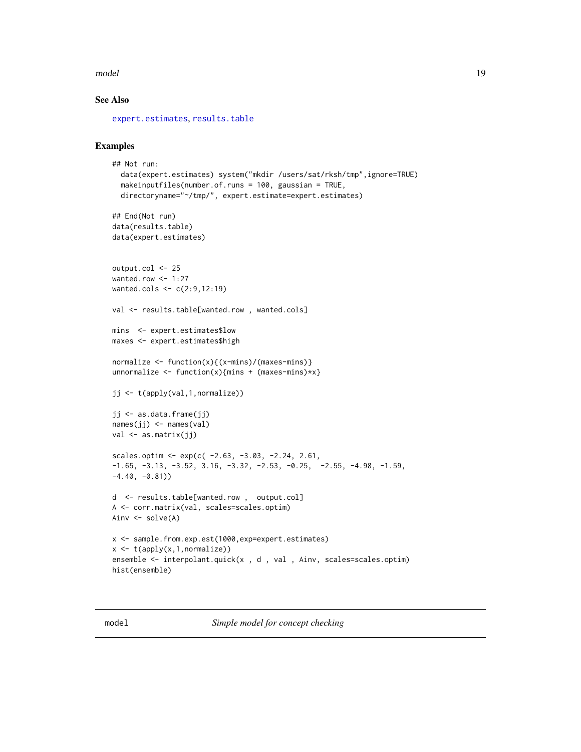#### <span id="page-18-0"></span>model and the contract of the contract of the contract of the contract of the contract of the contract of the contract of the contract of the contract of the contract of the contract of the contract of the contract of the

## See Also

[expert.estimates](#page-9-1), [results.table](#page-32-1)

## Examples

```
## Not run:
  data(expert.estimates) system("mkdir /users/sat/rksh/tmp",ignore=TRUE)
  makeinputfiles(number.of.runs = 100, gaussian = TRUE,
  directoryname="~/tmp/", expert.estimate=expert.estimates)
## End(Not run)
data(results.table)
data(expert.estimates)
output.col <- 25
wanted.row <-1:27wanted.cols <- c(2:9,12:19)
val <- results.table[wanted.row, wanted.cols]
mins <- expert.estimates$low
maxes <- expert.estimates$high
normalize \leq function(x){(x-mins)/(maxes-mins)}
unnormalize \leq function(x){mins + (maxes-mins)*x}
jj <- t(apply(val,1,normalize))
jj <- as.data.frame(jj)
names(jj) <- names(val)
val <- as.matrix(jj)
scales.optim <- exp(c(-2.63, -3.03, -2.24, 2.61,-1.65, -3.13, -3.52, 3.16, -3.32, -2.53, -0.25, -2.55, -4.98, -1.59,-4.40, -0.81))
d <- results.table[wanted.row , output.col]
A <- corr.matrix(val, scales=scales.optim)
Ainv <- solve(A)
x <- sample.from.exp.est(1000,exp=expert.estimates)
x \leftarrow t(apply(x,1,normalize))
ensemble <- interpolant.quick(x , d , val , Ainv, scales=scales.optim)
hist(ensemble)
```
model *Simple model for concept checking*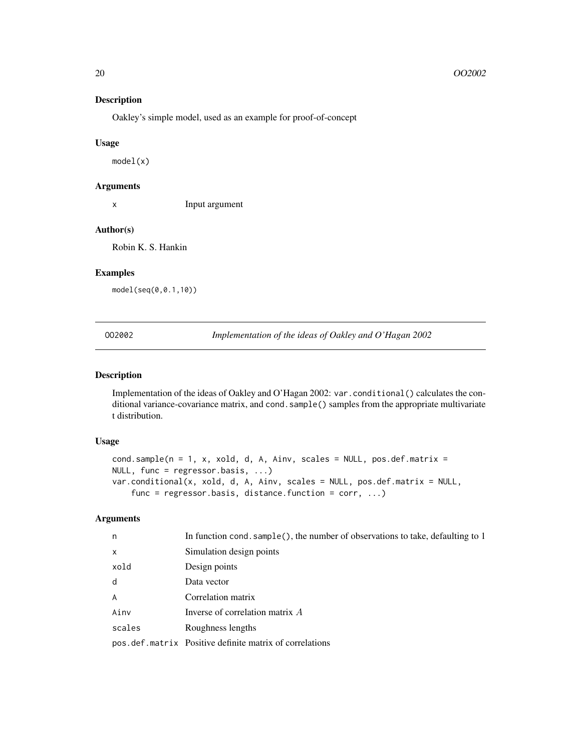## Description

Oakley's simple model, used as an example for proof-of-concept

#### Usage

model(x)

#### Arguments

x Input argument

### Author(s)

Robin K. S. Hankin

## Examples

model(seq(0,0.1,10))

OO2002 *Implementation of the ideas of Oakley and O'Hagan 2002*

### Description

Implementation of the ideas of Oakley and O'Hagan 2002: var.conditional() calculates the conditional variance-covariance matrix, and cond. sample() samples from the appropriate multivariate t distribution.

#### Usage

```
cond.sample(n = 1, x, xold, d, A, Ainv, scales = NULL, pos.def.matrix =NULL, func = regressor.basis, ...)
var.conditional(x, xold, d, A, Ainv, scales = NULL, pos.def.matrix = NULL,
    func = regressor.basis, distance.function = corr, ...)
```
## Arguments

| n              | In function cond. sample(), the number of observations to take, defaulting to 1 |
|----------------|---------------------------------------------------------------------------------|
| $\mathsf{x}$   | Simulation design points                                                        |
| xold           | Design points                                                                   |
| d              | Data vector                                                                     |
| $\overline{A}$ | Correlation matrix                                                              |
| Ainv           | Inverse of correlation matrix $A$                                               |
| scales         | Roughness lengths                                                               |
|                | pos.def.matrix Positive definite matrix of correlations                         |

<span id="page-19-0"></span>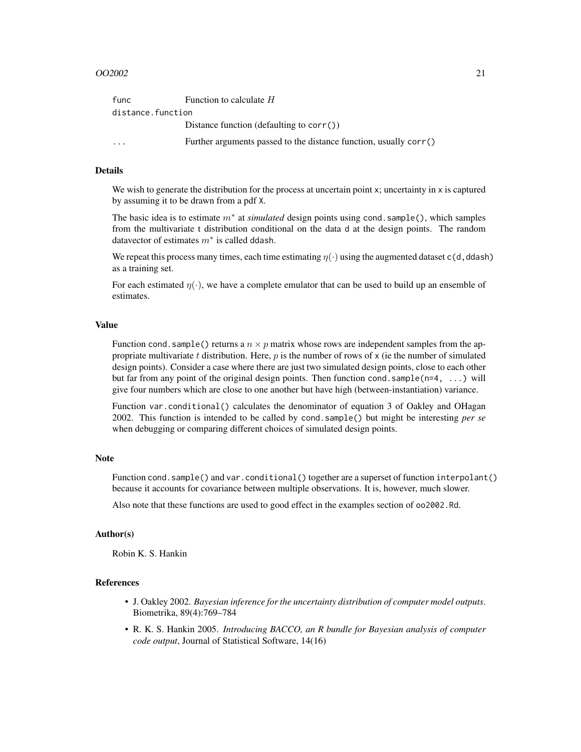#### $OO2002$  21

| func                    | Function to calculate $H$                                           |
|-------------------------|---------------------------------------------------------------------|
| distance.function       |                                                                     |
|                         | Distance function (defaulting to $corr()$ )                         |
| $\cdot$ $\cdot$ $\cdot$ | Further arguments passed to the distance function, usually $corr()$ |

#### Details

We wish to generate the distribution for the process at uncertain point x; uncertainty in x is captured by assuming it to be drawn from a pdf X.

The basic idea is to estimate m<sup>∗</sup> at *simulated* design points using cond.sample(), which samples from the multivariate t distribution conditional on the data d at the design points. The random datavector of estimates  $m^*$  is called ddash.

We repeat this process many times, each time estimating  $\eta(\cdot)$  using the augmented dataset c(d,ddash) as a training set.

For each estimated  $\eta(\cdot)$ , we have a complete emulator that can be used to build up an ensemble of estimates.

#### Value

Function cond. sample() returns a  $n \times p$  matrix whose rows are independent samples from the appropriate multivariate t distribution. Here,  $p$  is the number of rows of  $x$  (ie the number of simulated design points). Consider a case where there are just two simulated design points, close to each other but far from any point of the original design points. Then function cond. sample( $n=4$ , ...) will give four numbers which are close to one another but have high (between-instantiation) variance.

Function var.conditional() calculates the denominator of equation 3 of Oakley and OHagan 2002. This function is intended to be called by cond.sample() but might be interesting *per se* when debugging or comparing different choices of simulated design points.

#### Note

Function cond.sample() and var.conditional() together are a superset of function interpolant() because it accounts for covariance between multiple observations. It is, however, much slower.

Also note that these functions are used to good effect in the examples section of oo2002.Rd.

#### Author(s)

Robin K. S. Hankin

#### References

- J. Oakley 2002. *Bayesian inference for the uncertainty distribution of computer model outputs*. Biometrika, 89(4):769–784
- R. K. S. Hankin 2005. *Introducing BACCO, an R bundle for Bayesian analysis of computer code output*, Journal of Statistical Software, 14(16)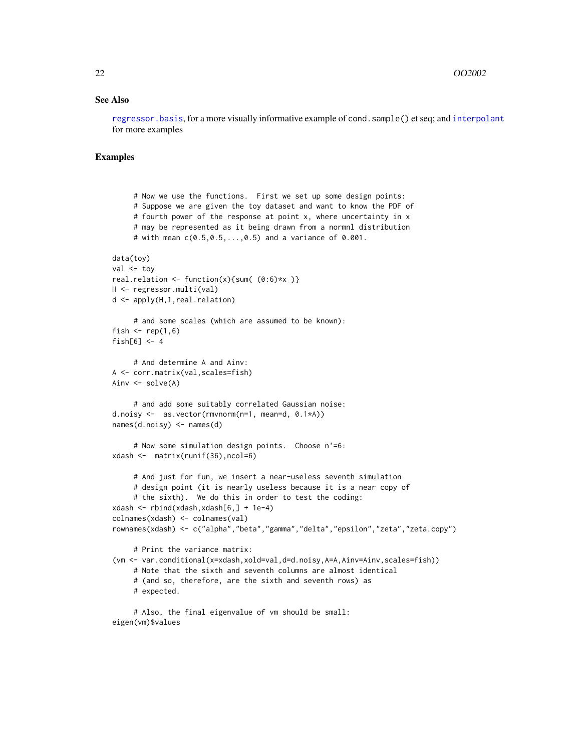#### <span id="page-21-0"></span>See Also

[regressor.basis](#page-29-1), for a more visually informative example of cond.sample() et seq; and [interpolant](#page-10-1) for more examples

```
# Now we use the functions. First we set up some design points:
     # Suppose we are given the toy dataset and want to know the PDF of
     # fourth power of the response at point x, where uncertainty in x
     # may be represented as it being drawn from a normnl distribution
     # with mean c(0.5,0.5,...,0.5) and a variance of 0.001.
data(toy)
val <- tov
real.relation \le function(x){sum( (0:6)*x )}
H <- regressor.multi(val)
d <- apply(H,1,real.relation)
     # and some scales (which are assumed to be known):
fish \le rep(1,6)
fish[6] <-4# And determine A and Ainv:
A <- corr.matrix(val,scales=fish)
Ainv \leq solve(A)
     # and add some suitably correlated Gaussian noise:
d.noisy <- as.vector(rmvnorm(n=1, mean=d, 0.1*A))
names(d.noisy) <- names(d)
     # Now some simulation design points. Choose n'=6:
xdash <- matrix(runif(36),ncol=6)
     # And just for fun, we insert a near-useless seventh simulation
     # design point (it is nearly useless because it is a near copy of
     # the sixth). We do this in order to test the coding:
xdash <- rbind(xdash,xdash[6,] + 1e-4)
colnames(xdash) <- colnames(val)
rownames(xdash) <- c("alpha","beta","gamma","delta","epsilon","zeta","zeta.copy")
     # Print the variance matrix:
(vm <- var.conditional(x=xdash,xold=val,d=d.noisy,A=A,Ainv=Ainv,scales=fish))
     # Note that the sixth and seventh columns are almost identical
     # (and so, therefore, are the sixth and seventh rows) as
     # expected.
     # Also, the final eigenvalue of vm should be small:
eigen(vm)$values
```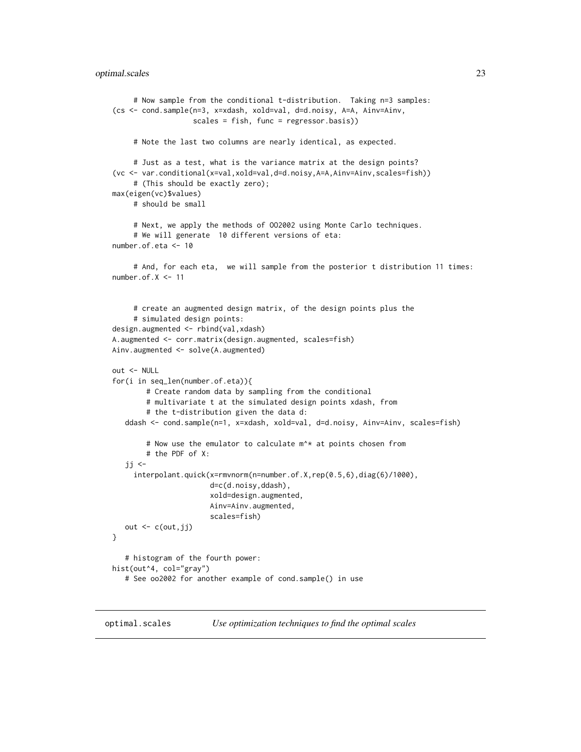#### <span id="page-22-0"></span>optimal.scales 23

```
# Now sample from the conditional t-distribution. Taking n=3 samples:
(cs <- cond.sample(n=3, x=xdash, xold=val, d=d.noisy, A=A, Ainv=Ainv,
                   scales = fish, func = regressor.basis))
     # Note the last two columns are nearly identical, as expected.
     # Just as a test, what is the variance matrix at the design points?
(vc <- var.conditional(x=val,xold=val,d=d.noisy,A=A,Ainv=Ainv,scales=fish))
     # (This should be exactly zero);
max(eigen(vc)$values)
     # should be small
     # Next, we apply the methods of OO2002 using Monte Carlo techniques.
     # We will generate 10 different versions of eta:
number.of.eta <- 10
     # And, for each eta, we will sample from the posterior t distribution 11 times:
number.of.X <- 11
     # create an augmented design matrix, of the design points plus the
     # simulated design points:
design.augmented <- rbind(val,xdash)
A.augmented <- corr.matrix(design.augmented, scales=fish)
Ainv.augmented <- solve(A.augmented)
out <- NULL
for(i in seq_len(number.of.eta)){
       # Create random data by sampling from the conditional
       # multivariate t at the simulated design points xdash, from
       # the t-distribution given the data d:
  ddash <- cond.sample(n=1, x=xdash, xold=val, d=d.noisy, Ainv=Ainv, scales=fish)
       # Now use the emulator to calculate m^* at points chosen from
        # the PDF of X:
   ji <-
     interpolant.quick(x=rmvnorm(n=number.of.X,rep(0.5,6),diag(6)/1000),
                       d=c(d.noisy,ddash),
                       xold=design.augmented,
                       Ainv=Ainv.augmented,
                       scales=fish)
  out <- c(out,jj)
}
   # histogram of the fourth power:
hist(out^4, col="gray")
   # See oo2002 for another example of cond.sample() in use
```
<span id="page-22-1"></span>optimal.scales *Use optimization techniques to find the optimal scales*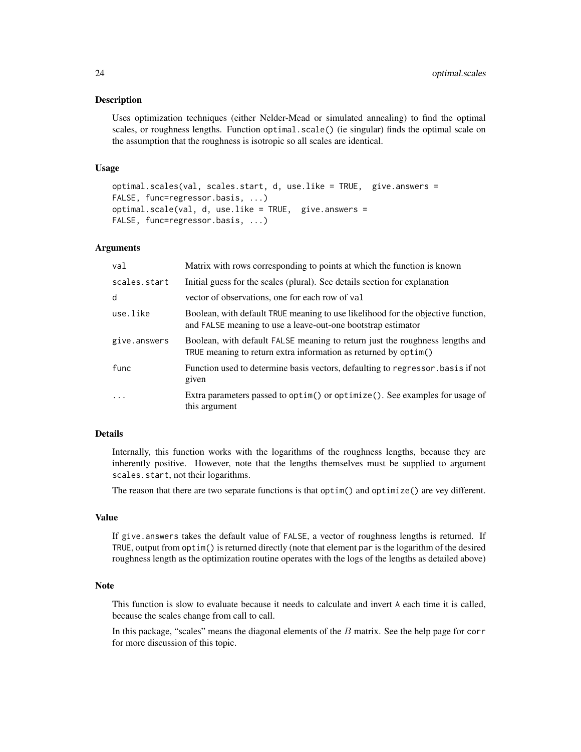#### Description

Uses optimization techniques (either Nelder-Mead or simulated annealing) to find the optimal scales, or roughness lengths. Function optimal.scale() (ie singular) finds the optimal scale on the assumption that the roughness is isotropic so all scales are identical.

#### Usage

```
optimal.scales(val, scales.start, d, use.like = TRUE, give.answers =
FALSE, func=regressor.basis, ...)
optimal.scale(val, d, use.like = TRUE, give.answers =
FALSE, func=regressor.basis, ...)
```
#### Arguments

| val          | Matrix with rows corresponding to points at which the function is known                                                                          |
|--------------|--------------------------------------------------------------------------------------------------------------------------------------------------|
| scales.start | Initial guess for the scales (plural). See details section for explanation                                                                       |
| d            | vector of observations, one for each row of val                                                                                                  |
| use.like     | Boolean, with default TRUE meaning to use likelihood for the objective function,<br>and FALSE meaning to use a leave-out-one bootstrap estimator |
| give.answers | Boolean, with default FALSE meaning to return just the roughness lengths and<br>TRUE meaning to return extra information as returned by optim()  |
| func         | Function used to determine basis vectors, defaulting to regressor. basis if not<br>given                                                         |
| .            | Extra parameters passed to optim() or optimize(). See examples for usage of<br>this argument                                                     |

#### Details

Internally, this function works with the logarithms of the roughness lengths, because they are inherently positive. However, note that the lengths themselves must be supplied to argument scales.start, not their logarithms.

The reason that there are two separate functions is that optim() and optimize() are vey different.

#### Value

If give.answers takes the default value of FALSE, a vector of roughness lengths is returned. If TRUE, output from optim() is returned directly (note that element par is the logarithm of the desired roughness length as the optimization routine operates with the logs of the lengths as detailed above)

#### Note

This function is slow to evaluate because it needs to calculate and invert A each time it is called, because the scales change from call to call.

In this package, "scales" means the diagonal elements of the  $B$  matrix. See the help page for corr for more discussion of this topic.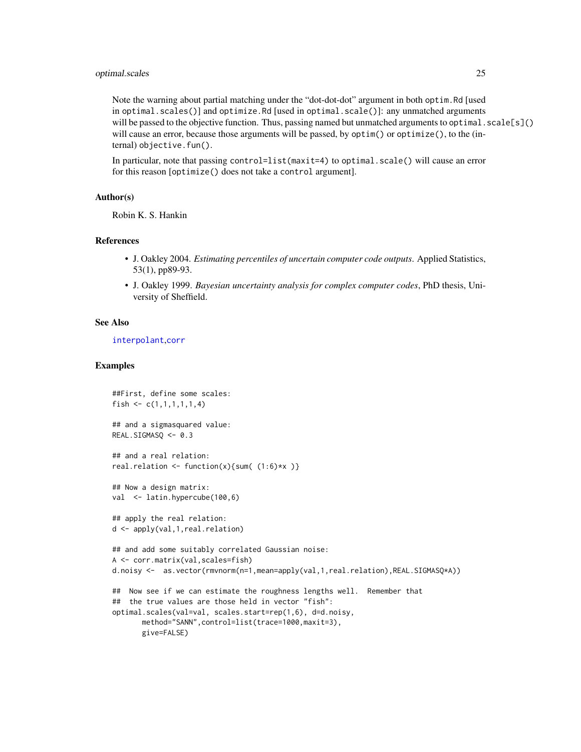### <span id="page-24-0"></span>optimal.scales 25

Note the warning about partial matching under the "dot-dot-dot" argument in both optim.Rd [used in optimal.scales()] and optimize.Rd [used in optimal.scale()]: any unmatched arguments will be passed to the objective function. Thus, passing named but unmatched arguments to optimal. scale[s]() will cause an error, because those arguments will be passed, by optim() or optimize(), to the (internal) objective.fun().

In particular, note that passing control=list(maxit=4) to optimal.scale() will cause an error for this reason [optimize() does not take a control argument].

#### Author(s)

Robin K. S. Hankin

### References

- J. Oakley 2004. *Estimating percentiles of uncertain computer code outputs*. Applied Statistics, 53(1), pp89-93.
- J. Oakley 1999. *Bayesian uncertainty analysis for complex computer codes*, PhD thesis, University of Sheffield.

#### See Also

[interpolant](#page-10-1),[corr](#page-4-1)

```
##First, define some scales:
fish \leq c(1,1,1,1,1,4)## and a sigmasquared value:
REAL.SIGMASQ <- 0.3
## and a real relation:
real.relation \le function(x){sum( (1:6)*x )}
## Now a design matrix:
val <- latin.hypercube(100,6)
## apply the real relation:
d <- apply(val,1,real.relation)
## and add some suitably correlated Gaussian noise:
A <- corr.matrix(val,scales=fish)
d.noisy <- as.vector(rmvnorm(n=1,mean=apply(val,1,real.relation),REAL.SIGMASQ*A))
## Now see if we can estimate the roughness lengths well. Remember that
## the true values are those held in vector "fish":
optimal.scales(val=val, scales.start=rep(1,6), d=d.noisy,
      method="SANN",control=list(trace=1000,maxit=3),
      give=FALSE)
```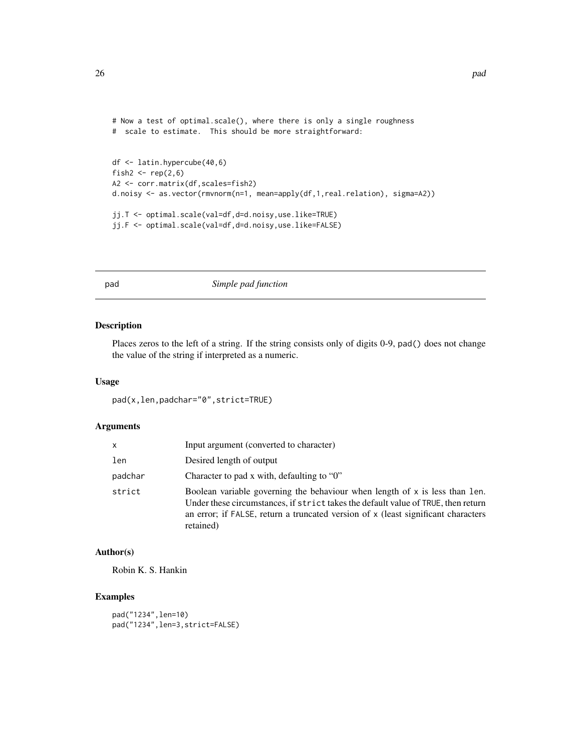```
# Now a test of optimal.scale(), where there is only a single roughness
# scale to estimate. This should be more straightforward:
df <- latin.hypercube(40,6)
fish2 \leftarrow \text{rep}(2, 6)A2 <- corr.matrix(df,scales=fish2)
d.noisy <- as.vector(rmvnorm(n=1, mean=apply(df,1,real.relation), sigma=A2))
jj.T <- optimal.scale(val=df,d=d.noisy,use.like=TRUE)
```

```
jj.F <- optimal.scale(val=df,d=d.noisy,use.like=FALSE)
```
pad *Simple pad function*

## Description

Places zeros to the left of a string. If the string consists only of digits 0-9, pad() does not change the value of the string if interpreted as a numeric.

#### Usage

pad(x,len,padchar="0",strict=TRUE)

#### Arguments

| x       | Input argument (converted to character)                                                                                                                                                                                                                            |
|---------|--------------------------------------------------------------------------------------------------------------------------------------------------------------------------------------------------------------------------------------------------------------------|
| len     | Desired length of output                                                                                                                                                                                                                                           |
| padchar | Character to pad x with, defaulting to " $0$ "                                                                                                                                                                                                                     |
| strict  | Boolean variable governing the behaviour when length of x is less than len.<br>Under these circumstances, if strict takes the default value of TRUE, then return<br>an error; if FALSE, return a truncated version of x (least significant characters<br>retained) |

## Author(s)

Robin K. S. Hankin

#### Examples

pad("1234",len=10) pad("1234",len=3,strict=FALSE)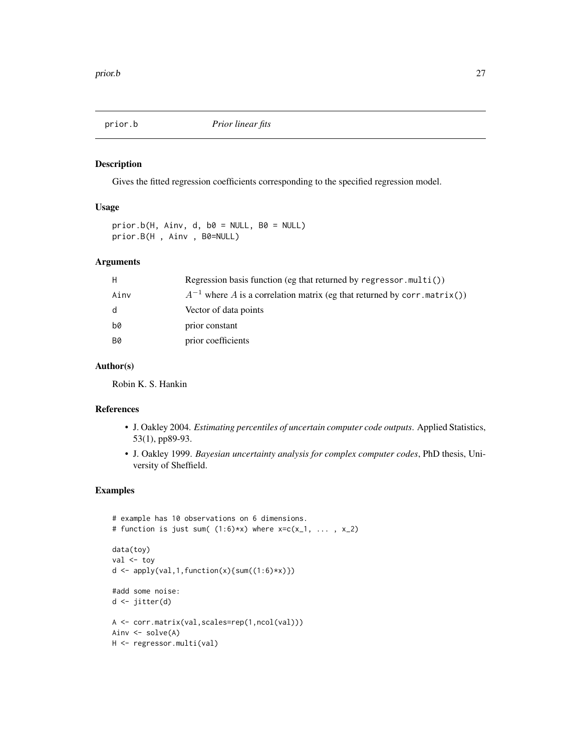<span id="page-26-0"></span>

#### Description

Gives the fitted regression coefficients corresponding to the specified regression model.

#### Usage

 $prior.b(H, Ainv, d, b0 = NULL, B0 = NULL)$ prior.B(H , Ainv , B0=NULL)

#### Arguments

| H    | Regression basis function (eg that returned by regressor.multi())             |
|------|-------------------------------------------------------------------------------|
| Ainv | $A^{-1}$ where A is a correlation matrix (eg that returned by corr. matrix()) |
| d    | Vector of data points                                                         |
| b0   | prior constant                                                                |
| B0   | prior coefficients                                                            |
|      |                                                                               |

## Author(s)

Robin K. S. Hankin

#### References

- J. Oakley 2004. *Estimating percentiles of uncertain computer code outputs*. Applied Statistics, 53(1), pp89-93.
- J. Oakley 1999. *Bayesian uncertainty analysis for complex computer codes*, PhD thesis, University of Sheffield.

```
# example has 10 observations on 6 dimensions.
# function is just sum((1:6)*x) where x=c(x_1, \ldots, x_2)data(toy)
val <- toy
d \leftarrow apply(val, 1, function(x) \{sum(1:6)*x)\})#add some noise:
d <- jitter(d)
A <- corr.matrix(val,scales=rep(1,ncol(val)))
Ainv <- solve(A)
H <- regressor.multi(val)
```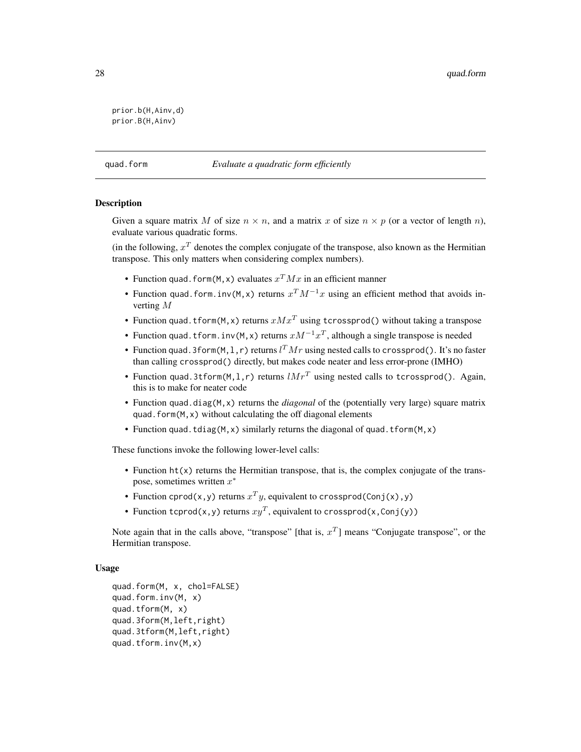```
prior.b(H,Ainv,d)
prior.B(H,Ainv)
```
#### quad.form *Evaluate a quadratic form efficiently*

#### Description

Given a square matrix M of size  $n \times n$ , and a matrix x of size  $n \times p$  (or a vector of length n), evaluate various quadratic forms.

(in the following,  $x^T$  denotes the complex conjugate of the transpose, also known as the Hermitian transpose. This only matters when considering complex numbers).

- Function quad. form(M, x) evaluates  $x^T M x$  in an efficient manner
- Function quad.form.inv(M, x) returns  $x^T M^{-1}x$  using an efficient method that avoids inverting M
- Function quad.tform(M, x) returns  $xMx^{T}$  using tcrossprod() without taking a transpose
- Function quad.tform.inv(M, x) returns  $xM^{-1}x^T$ , although a single transpose is needed
- Function quad.3form(M, 1, r) returns  $l^T M r$  using nested calls to crossprod(). It's no faster than calling crossprod() directly, but makes code neater and less error-prone (IMHO)
- Function quad.3tform(M,1,r) returns  $lMr^T$  using nested calls to tcrossprod(). Again, this is to make for neater code
- Function quad.diag(M,x) returns the *diagonal* of the (potentially very large) square matrix quad. form $(M, x)$  without calculating the off diagonal elements
- Function quad.tdiag( $M$ , x) similarly returns the diagonal of quad.tform( $M$ , x)

These functions invoke the following lower-level calls:

- Function ht(x) returns the Hermitian transpose, that is, the complex conjugate of the transpose, sometimes written  $x^*$
- Function cprod(x,y) returns  $x^T y$ , equivalent to crossprod(Conj(x),y)
- Function tcprod(x,y) returns  $xy^T$ , equivalent to crossprod(x,Conj(y))

Note again that in the calls above, "transpose" [that is,  $x^T$ ] means "Conjugate transpose", or the Hermitian transpose.

#### Usage

```
quad.form(M, x, chol=FALSE)
quad.form.inv(M, x)
quad.tform(M, x)
quad.3form(M,left,right)
quad.3tform(M,left,right)
quad.tform.inv(M,x)
```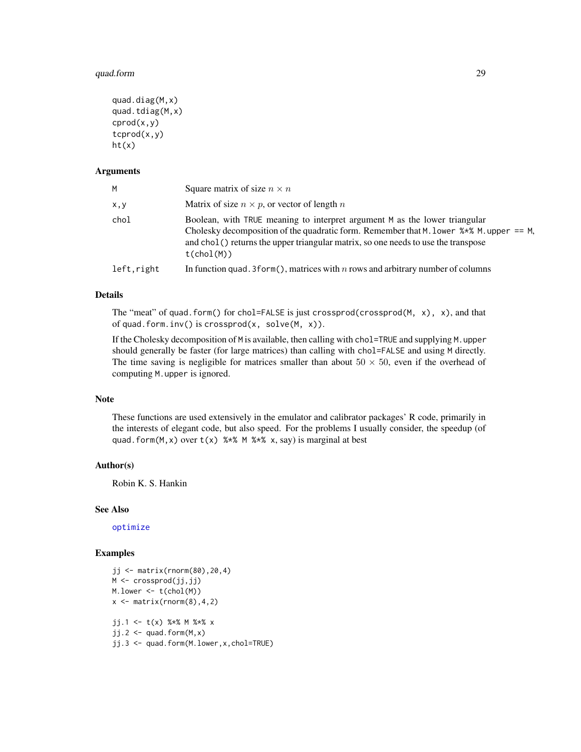#### <span id="page-28-0"></span>quad.form 29

```
quad.diag(M,x)
quad.tdiag(M,x)\text{crod}(x,y)tcprod(x,y)
ht(x)
```
#### **Arguments**

| M          | Square matrix of size $n \times n$                                                                                                                                                                                                                                                 |
|------------|------------------------------------------------------------------------------------------------------------------------------------------------------------------------------------------------------------------------------------------------------------------------------------|
| X, Y       | Matrix of size $n \times p$ , or vector of length n                                                                                                                                                                                                                                |
| chol       | Boolean, with TRUE meaning to interpret argument M as the lower triangular<br>Cholesky decomposition of the quadratic form. Remember that M. lower $\frac{1}{2}$ M. upper == M.<br>and chol() returns the upper triangular matrix, so one needs to use the transpose<br>t(cho1(M)) |
| left,right | In function quad. 3 form(), matrices with $n$ rows and arbitrary number of columns                                                                                                                                                                                                 |

### Details

The "meat" of quad.form() for chol=FALSE is just crossprod(crossprod(M,  $x$ ),  $x$ ), and that of quad.form.inv() is crossprod(x, solve(M, x)).

If the Cholesky decomposition of M is available, then calling with chol=TRUE and supplying M.upper should generally be faster (for large matrices) than calling with chol=FALSE and using M directly. The time saving is negligible for matrices smaller than about  $50 \times 50$ , even if the overhead of computing M.upper is ignored.

### Note

These functions are used extensively in the emulator and calibrator packages' R code, primarily in the interests of elegant code, but also speed. For the problems I usually consider, the speedup (of quad.form(M, x) over  $t(x)$  %\*% M %\*% x, say) is marginal at best

#### Author(s)

Robin K. S. Hankin

#### See Also

[optimize](#page-0-0)

```
jj <- matrix(rnorm(80),20,4)
M <- crossprod(jj,jj)
M. lower \leq t(chol(M))
x \leftarrow \text{matrix}(rnorm(8), 4, 2)jj.1 <- t(x) %*% M %*% x
jj.2 \leftarrow quad.form(M, x)jj.3 <- quad.form(M.lower,x,chol=TRUE)
```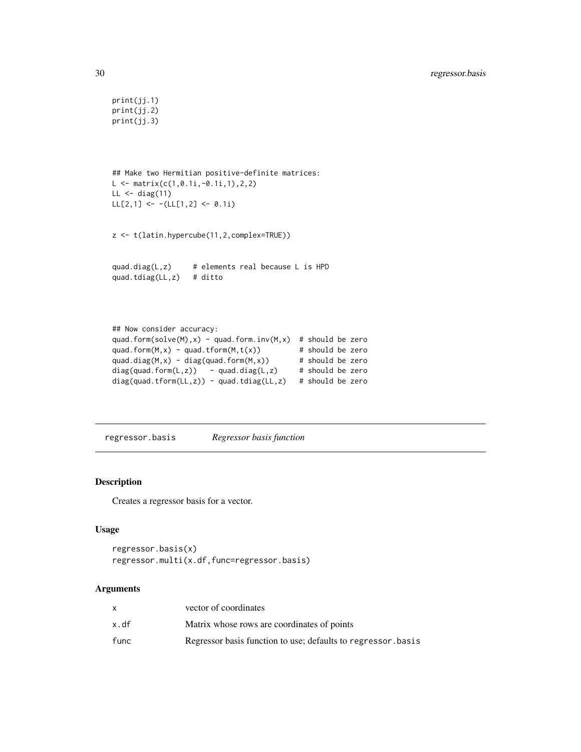```
print(jj.1)
print(jj.2)
print(jj.3)
## Make two Hermitian positive-definite matrices:
L <- matrix(c(1,0.1i,-0.1i,1),2,2)
LL < - diag(11)LL[2,1] <- -L[L[1,2] <- 0.1i)
z <- t(latin.hypercube(11,2,complex=TRUE))
quad.diag(L,z) # elements real because L is HPD
quad.tdiag(LL,z) # ditto
## Now consider accuracy:
quad.form(solve(M),x) - quad.form.inv(M,x) # should be zero
quad.form(M,x) - quad.tform(M,t(x)) \qquad # should be zero
quad.diag(M,x) - diag(quad.form(M,x)) # should be zero
diag(quad.form(L,z)) - quad.diag(L,z) # should be zero
diag(quad.tform(LL,z)) - quad.tdiag(LL,z) # should be zero
```
<span id="page-29-1"></span>regressor.basis *Regressor basis function*

#### Description

Creates a regressor basis for a vector.

#### Usage

```
regressor.basis(x)
regressor.multi(x.df,func=regressor.basis)
```
#### Arguments

|      | vector of coordinates                                        |
|------|--------------------------------------------------------------|
| x.df | Matrix whose rows are coordinates of points                  |
| func | Regressor basis function to use; defaults to regressor basis |

<span id="page-29-0"></span>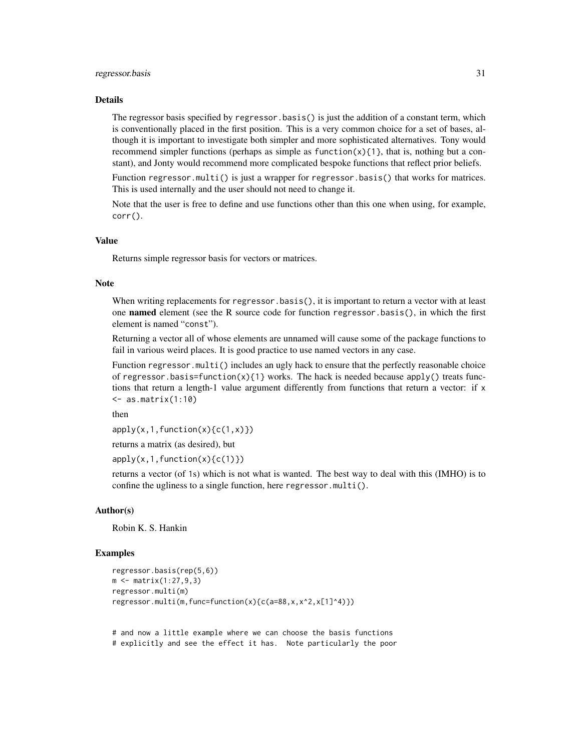#### regressor.basis 31

#### Details

The regressor basis specified by regressor.basis() is just the addition of a constant term, which is conventionally placed in the first position. This is a very common choice for a set of bases, although it is important to investigate both simpler and more sophisticated alternatives. Tony would recommend simpler functions (perhaps as simple as function $(x)$ {1}, that is, nothing but a constant), and Jonty would recommend more complicated bespoke functions that reflect prior beliefs.

Function regressor.multi() is just a wrapper for regressor.basis() that works for matrices. This is used internally and the user should not need to change it.

Note that the user is free to define and use functions other than this one when using, for example, corr().

#### Value

Returns simple regressor basis for vectors or matrices.

#### **Note**

When writing replacements for regressor.basis(), it is important to return a vector with at least one named element (see the R source code for function regressor.basis $($ ), in which the first element is named "const").

Returning a vector all of whose elements are unnamed will cause some of the package functions to fail in various weird places. It is good practice to use named vectors in any case.

Function regressor.multi() includes an ugly hack to ensure that the perfectly reasonable choice of regressor.basis=function(x){1} works. The hack is needed because apply() treats functions that return a length-1 value argument differently from functions that return a vector: if x <- as.matrix(1:10)

then

 $apply(x,1,function(x){c(1,x)}})$ 

returns a matrix (as desired), but

 $apply(x,1,function(x)\{c(1)\})$ 

returns a vector (of 1s) which is not what is wanted. The best way to deal with this (IMHO) is to confine the ugliness to a single function, here regressor.multi().

#### Author(s)

Robin K. S. Hankin

#### Examples

```
regressor.basis(rep(5,6))
m <- matrix(1:27,9,3)
regressor.multi(m)
regressor.multi(m,func=function(x){c(a=88,x,x^2,x[1]^4)})
```
# and now a little example where we can choose the basis functions # explicitly and see the effect it has. Note particularly the poor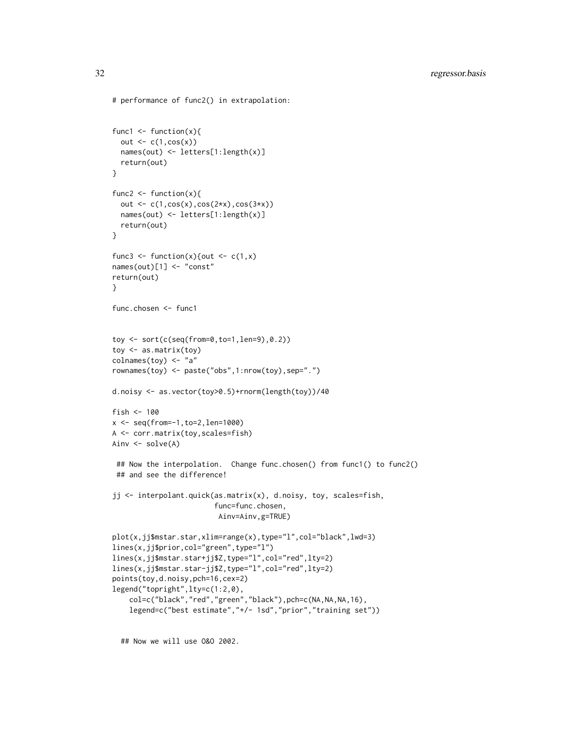```
# performance of func2() in extrapolation:
func1 \leftarrow function(x){
  out \leftarrow c(1, \cos(x))names(out) <- letters[1:length(x)]
  return(out)
}
func2 \leftarrow function(x){
  out \leq c(1, \cos(x), \cos(2*x), \cos(3*x))names(out) <- letters[1:length(x)]
  return(out)
}
func3 <- function(x){out <- c(1,x)names(out)[1] <- "const"
return(out)
}
func.chosen <- func1
toy <- sort(c(seq(from=0,to=1,len=9),0.2))
toy <- as.matrix(toy)
colnames(toy) <- "a"
rownames(toy) <- paste("obs",1:nrow(toy),sep=".")
d.noisy <- as.vector(toy>0.5)+rnorm(length(toy))/40
fish <-100x <- seq(from=-1,to=2,len=1000)
A <- corr.matrix(toy,scales=fish)
Ainv <- solve(A)
 ## Now the interpolation. Change func.chosen() from func1() to func2()
 ## and see the difference!
jj <- interpolant.quick(as.matrix(x), d.noisy, toy, scales=fish,
                         func=func.chosen,
                         Ainv=Ainv,g=TRUE)
plot(x,jj$mstar.star,xlim=range(x),type="l",col="black",lwd=3)
lines(x,jj$prior,col="green",type="l")
lines(x,jj$mstar.star+jj$Z,type="l",col="red",lty=2)
lines(x,jj$mstar.star-jj$Z,type="l",col="red",lty=2)
points(toy,d.noisy,pch=16,cex=2)
legend("topright",lty=c(1:2,0),
    col=c("black","red","green","black"),pch=c(NA,NA,NA,16),
    legend=c("best estimate","+/- 1sd","prior","training set"))
```
## Now we will use O&O 2002.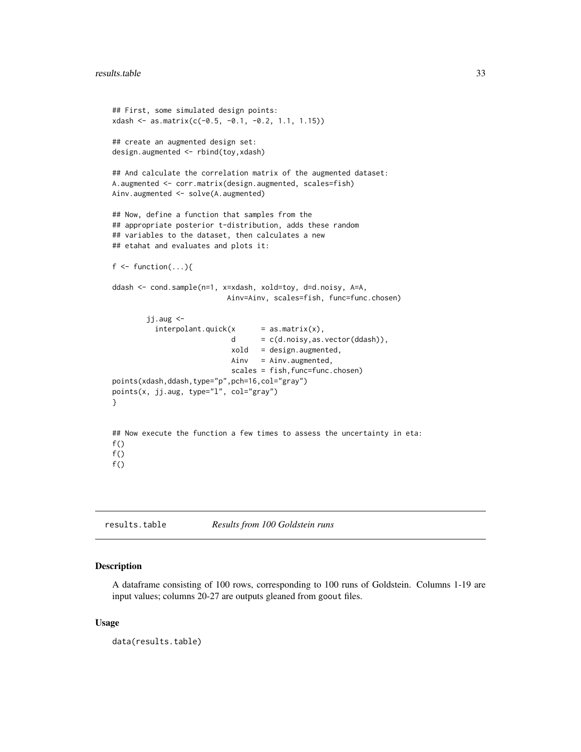```
## First, some simulated design points:
xdash <- as.matrix(c(-0.5, -0.1, -0.2, 1.1, 1.15))
## create an augmented design set:
design.augmented <- rbind(toy,xdash)
## And calculate the correlation matrix of the augmented dataset:
A.augmented <- corr.matrix(design.augmented, scales=fish)
Ainv.augmented <- solve(A.augmented)
## Now, define a function that samples from the
## appropriate posterior t-distribution, adds these random
## variables to the dataset, then calculates a new
## etahat and evaluates and plots it:
f \leftarrow function(...)\{ddash <- cond.sample(n=1, x=xdash, xold=toy, d=d.noisy, A=A,
                           Ainv=Ainv, scales=fish, func=func.chosen)
       jj.aug <-
          interpolation t. quick(x = as_matrix(x),d = c(d.noisy, as.vector(ddash)),xold = design.augmented,
                            Ainv = Ainv.augmented,
                            scales = fish, func=func.chosen)
points(xdash,ddash,type="p",pch=16,col="gray")
points(x, jj.aug, type="l", col="gray")
}
## Now execute the function a few times to assess the uncertainty in eta:
f()f()f()
```
<span id="page-32-1"></span>results.table *Results from 100 Goldstein runs*

#### Description

A dataframe consisting of 100 rows, corresponding to 100 runs of Goldstein. Columns 1-19 are input values; columns 20-27 are outputs gleaned from goout files.

#### Usage

data(results.table)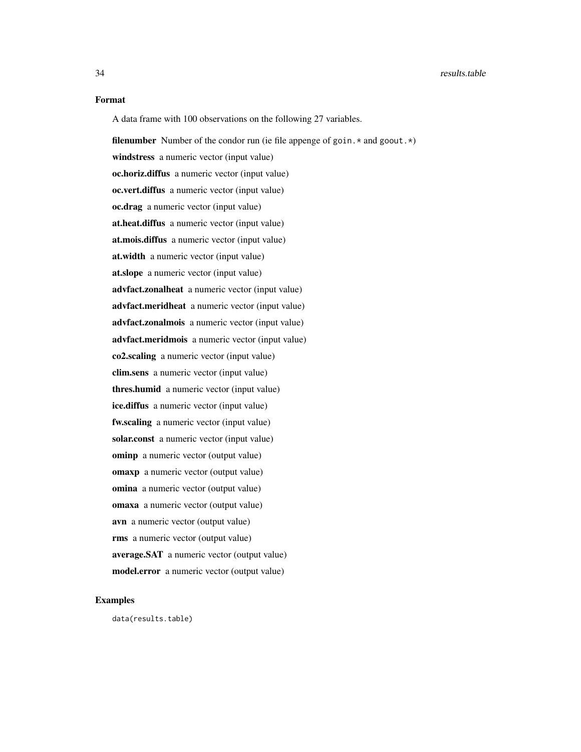#### Format

A data frame with 100 observations on the following 27 variables.

filenumber Number of the condor run (ie file appenge of goin.  $*$  and goout.  $*)$ windstress a numeric vector (input value) oc.horiz.diffus a numeric vector (input value) oc.vert.diffus a numeric vector (input value) oc.drag a numeric vector (input value) at.heat.diffus a numeric vector (input value) at.mois.diffus a numeric vector (input value) at.width a numeric vector (input value) at.slope a numeric vector (input value) advfact.zonalheat a numeric vector (input value) advfact.meridheat a numeric vector (input value) advfact.zonalmois a numeric vector (input value) advfact.meridmois a numeric vector (input value) co2.scaling a numeric vector (input value) clim.sens a numeric vector (input value) thres.humid a numeric vector (input value) ice.diffus a numeric vector (input value) fw.scaling a numeric vector (input value) solar.const a numeric vector (input value) ominp a numeric vector (output value) omaxp a numeric vector (output value) omina a numeric vector (output value) omaxa a numeric vector (output value) avn a numeric vector (output value) rms a numeric vector (output value) average.SAT a numeric vector (output value) model.error a numeric vector (output value)

#### Examples

data(results.table)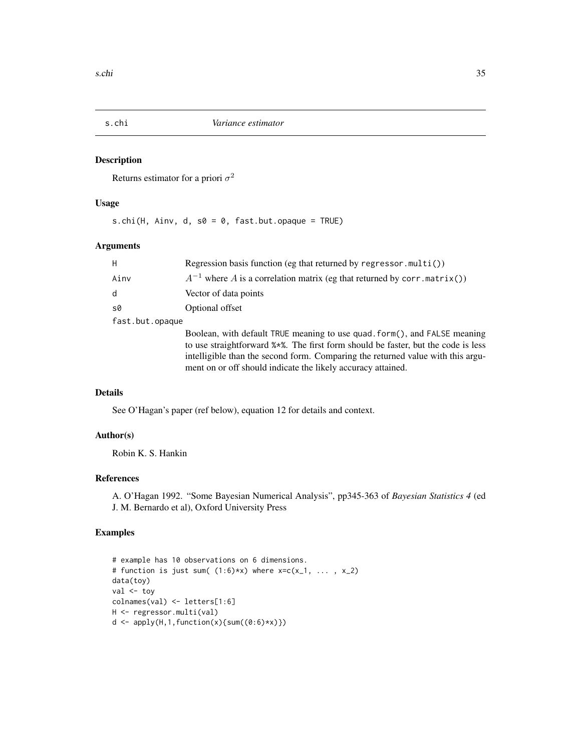<span id="page-34-0"></span>

#### Description

Returns estimator for a priori  $\sigma^2$ 

## Usage

s.chi(H, Ainv, d, s0 = 0, fast.but.opaque = TRUE)

## Arguments

| H               | Regression basis function (eg that returned by regressor.multi())                                                                                                                                                                                                                                                            |
|-----------------|------------------------------------------------------------------------------------------------------------------------------------------------------------------------------------------------------------------------------------------------------------------------------------------------------------------------------|
| Ainv            | $A^{-1}$ where A is a correlation matrix (eg that returned by corr.matrix())                                                                                                                                                                                                                                                 |
| d               | Vector of data points                                                                                                                                                                                                                                                                                                        |
| s0              | Optional offset                                                                                                                                                                                                                                                                                                              |
| fast.but.opaque |                                                                                                                                                                                                                                                                                                                              |
|                 | Boolean, with default TRUE meaning to use quad. form(), and FALSE meaning<br>to use straightforward $\frac{1}{2}$ . The first form should be faster, but the code is less<br>intelligible than the second form. Comparing the returned value with this argu-<br>ment on or off should indicate the likely accuracy attained. |

## Details

See O'Hagan's paper (ref below), equation 12 for details and context.

#### Author(s)

Robin K. S. Hankin

#### References

A. O'Hagan 1992. "Some Bayesian Numerical Analysis", pp345-363 of *Bayesian Statistics 4* (ed J. M. Bernardo et al), Oxford University Press

```
# example has 10 observations on 6 dimensions.
# function is just sum((1:6)*x) where x=c(x_1, \ldots, x_2)data(toy)
val <- toy
colnames(val) <- letters[1:6]
H <- regressor.multi(val)
d \leq apply(H,1,function(x){sum((0:6)*x)})
```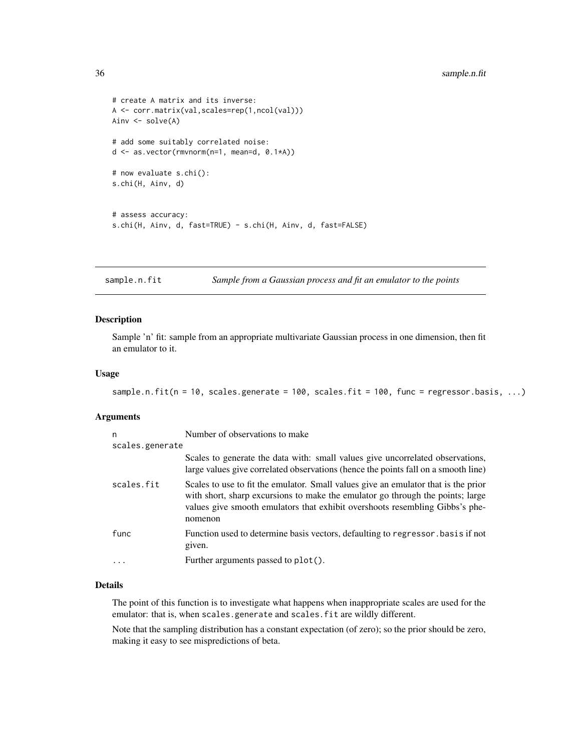```
# create A matrix and its inverse:
A <- corr.matrix(val,scales=rep(1,ncol(val)))
Ainv <- solve(A)
# add some suitably correlated noise:
d <- as.vector(rmvnorm(n=1, mean=d, 0.1*A))
# now evaluate s.chi():
s.chi(H, Ainv, d)
# assess accuracy:
s.chi(H, Ainv, d, fast=TRUE) - s.chi(H, Ainv, d, fast=FALSE)
```
sample.n.fit *Sample from a Gaussian process and fit an emulator to the points*

#### Description

Sample 'n' fit: sample from an appropriate multivariate Gaussian process in one dimension, then fit an emulator to it.

#### Usage

```
sample.n.fit(n = 10, scales.generate = 100, scales.fit = 100, func = regressor.basis, ...)
```
#### Arguments

| n               | Number of observations to make                                                                                                                                                                                                                                  |
|-----------------|-----------------------------------------------------------------------------------------------------------------------------------------------------------------------------------------------------------------------------------------------------------------|
| scales.generate |                                                                                                                                                                                                                                                                 |
|                 | Scales to generate the data with: small values give uncorrelated observations,<br>large values give correlated observations (hence the points fall on a smooth line)                                                                                            |
| scales.fit      | Scales to use to fit the emulator. Small values give an emulator that is the prior<br>with short, sharp excursions to make the emulator go through the points; large<br>values give smooth emulators that exhibit overshoots resembling Gibbs's phe-<br>nomenon |
| func            | Function used to determine basis vectors, defaulting to regressor basis if not<br>given.                                                                                                                                                                        |
| $\ddots$ .      | Further arguments passed to plot().                                                                                                                                                                                                                             |

## Details

The point of this function is to investigate what happens when inappropriate scales are used for the emulator: that is, when scales.generate and scales.fit are wildly different.

Note that the sampling distribution has a constant expectation (of zero); so the prior should be zero, making it easy to see mispredictions of beta.

<span id="page-35-0"></span>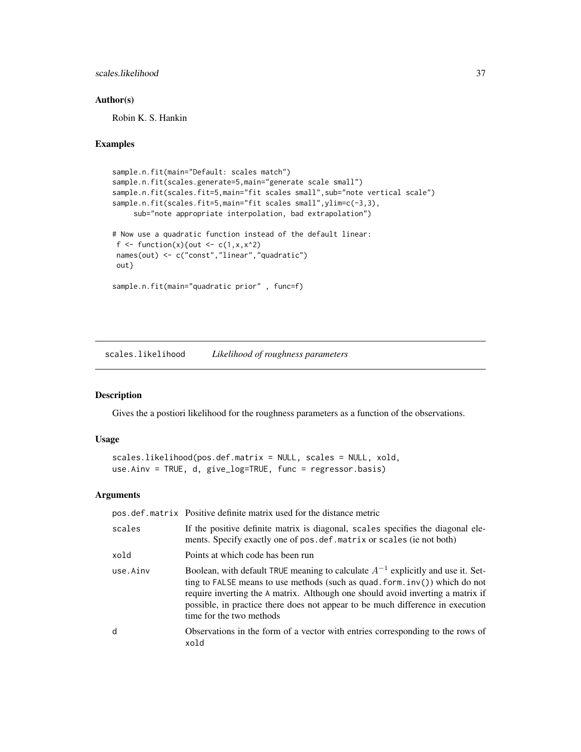#### <span id="page-36-0"></span>scales.likelihood 37

#### Author(s)

Robin K. S. Hankin

## Examples

```
sample.n.fit(main="Default: scales match")
sample.n.fit(scales.generate=5,main="generate scale small")
sample.n.fit(scales.fit=5,main="fit scales small", sub="note vertical scale")
sample.n.fit(scales.fit=5,main="fit scales small", ylim=c(-3,3),
     sub="note appropriate interpolation, bad extrapolation")
# Now use a quadratic function instead of the default linear:
f <- function(x){out <- c(1, x, x^2)names(out) <- c("const","linear","quadratic")
out}
sample.n.fit(main="quadratic prior" , func=f)
```
scales.likelihood *Likelihood of roughness parameters*

#### Description

Gives the a postiori likelihood for the roughness parameters as a function of the observations.

#### Usage

```
scales.likelihood(pos.def.matrix = NULL, scales = NULL, xold,
use.Ainv = TRUE, d, give_log=TRUE, func = regressor.basis)
```
#### Arguments

|          | pos.def.matrix Positive definite matrix used for the distance metric                                                                                                                                                                                                                                                                                                    |
|----------|-------------------------------------------------------------------------------------------------------------------------------------------------------------------------------------------------------------------------------------------------------------------------------------------------------------------------------------------------------------------------|
| scales   | If the positive definite matrix is diagonal, scales specifies the diagonal ele-<br>ments. Specify exactly one of pos. def. matrix or scales (ie not both)                                                                                                                                                                                                               |
| xold     | Points at which code has been run                                                                                                                                                                                                                                                                                                                                       |
| use.Ainv | Boolean, with default TRUE meaning to calculate $A^{-1}$ explicitly and use it. Set-<br>ting to FALSE means to use methods (such as quad. form. $inv()$ ) which do not<br>require inverting the A matrix. Although one should avoid inverting a matrix if<br>possible, in practice there does not appear to be much difference in execution<br>time for the two methods |
| d        | Observations in the form of a vector with entries corresponding to the rows of<br>xold                                                                                                                                                                                                                                                                                  |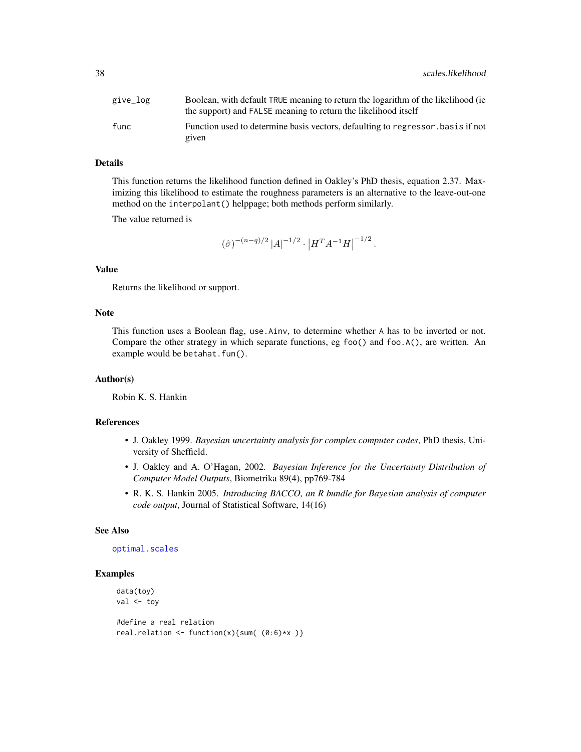<span id="page-37-0"></span>

| give_log | Boolean, with default TRUE meaning to return the logarithm of the likelihood (ie<br>the support) and FALSE meaning to return the likelihood itself |
|----------|----------------------------------------------------------------------------------------------------------------------------------------------------|
| func     | Function used to determine basis vectors, defaulting to regressor, basis if not<br>given                                                           |

#### Details

This function returns the likelihood function defined in Oakley's PhD thesis, equation 2.37. Maximizing this likelihood to estimate the roughness parameters is an alternative to the leave-out-one method on the interpolant() helppage; both methods perform similarly.

The value returned is

$$
(\hat{\sigma})^{-(n-q)/2} |A|^{-1/2} \cdot |H^T A^{-1} H|^{-1/2}.
$$

## Value

Returns the likelihood or support.

#### Note

This function uses a Boolean flag, use.Ainv, to determine whether A has to be inverted or not. Compare the other strategy in which separate functions, eg foo() and foo.A(), are written. An example would be betahat.fun().

#### Author(s)

Robin K. S. Hankin

## References

- J. Oakley 1999. *Bayesian uncertainty analysis for complex computer codes*, PhD thesis, University of Sheffield.
- J. Oakley and A. O'Hagan, 2002. *Bayesian Inference for the Uncertainty Distribution of Computer Model Outputs*, Biometrika 89(4), pp769-784
- R. K. S. Hankin 2005. *Introducing BACCO, an R bundle for Bayesian analysis of computer code output*, Journal of Statistical Software, 14(16)

#### See Also

#### [optimal.scales](#page-22-1)

```
data(toy)
val <- toy
#define a real relation
real.relation \leftarrow function(x){sum( (0:6)*x )}
```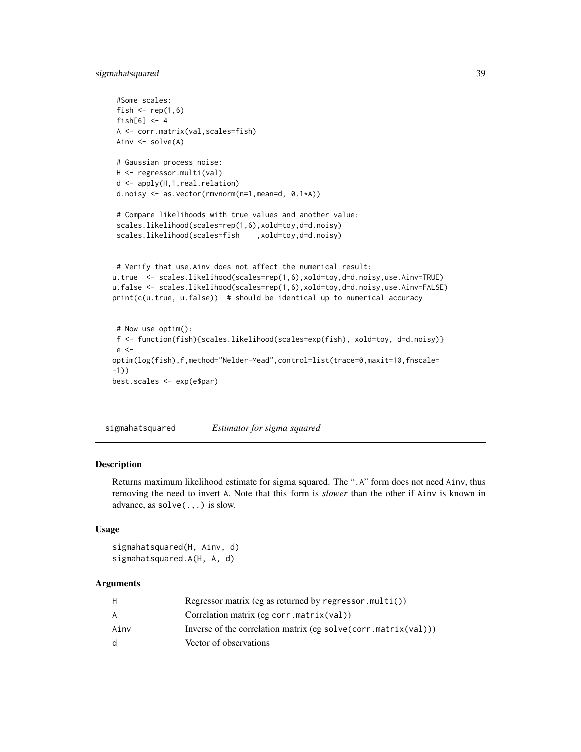## <span id="page-38-0"></span>sigmahatsquared 39

```
#Some scales:
 fish \leq rep(1,6)
fish[6] < -4A <- corr.matrix(val,scales=fish)
Ainv \leq solve(A)
 # Gaussian process noise:
H <- regressor.multi(val)
d <- apply(H,1,real.relation)
d.noisy <- as.vector(rmvnorm(n=1,mean=d, 0.1*A))
 # Compare likelihoods with true values and another value:
 scales.likelihood(scales=rep(1,6),xold=toy,d=d.noisy)
 scales.likelihood(scales=fish ,xold=toy,d=d.noisy)
# Verify that use.Ainv does not affect the numerical result:
u.true <- scales.likelihood(scales=rep(1,6),xold=toy,d=d.noisy,use.Ainv=TRUE)
u.false <- scales.likelihood(scales=rep(1,6),xold=toy,d=d.noisy,use.Ainv=FALSE)
print(c(u.true, u.false)) # should be identical up to numerical accuracy
# Now use optim():
f <- function(fish){scales.likelihood(scales=exp(fish), xold=toy, d=d.noisy)}
e <-
optim(log(fish),f,method="Nelder-Mead",control=list(trace=0,maxit=10,fnscale=
-1))
best.scales <- exp(e$par)
```
sigmahatsquared *Estimator for sigma squared*

#### Description

Returns maximum likelihood estimate for sigma squared. The ".A" form does not need Ainv, thus removing the need to invert A. Note that this form is *slower* than the other if Ainv is known in advance, as solve(.,.) is slow.

#### Usage

```
sigmahatsquared(H, Ainv, d)
sigmahatsquared.A(H, A, d)
```
#### **Arguments**

| H.   | Regressor matrix (eg as returned by regressor $.multi()$ )          |
|------|---------------------------------------------------------------------|
| A    | Correlation matrix (eg corr.matrix(val))                            |
| Ainv | Inverse of the correlation matrix (eg solve (corr. $matrix(va1))$ ) |
| d.   | Vector of observations                                              |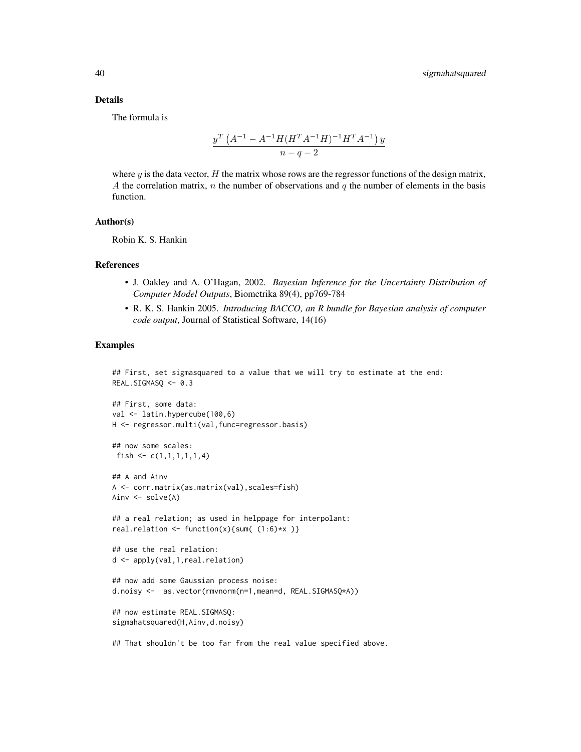#### Details

The formula is

$$
\frac{y^T \left(A^{-1} - A^{-1} H (H^T A^{-1} H)^{-1} H^T A^{-1}\right) y}{n - q - 2}
$$

where y is the data vector, H the matrix whose rows are the regressor functions of the design matrix, A the correlation matrix,  $n$  the number of observations and  $q$  the number of elements in the basis function.

#### Author(s)

Robin K. S. Hankin

#### References

- J. Oakley and A. O'Hagan, 2002. *Bayesian Inference for the Uncertainty Distribution of Computer Model Outputs*, Biometrika 89(4), pp769-784
- R. K. S. Hankin 2005. *Introducing BACCO, an R bundle for Bayesian analysis of computer code output*, Journal of Statistical Software, 14(16)

#### Examples

```
## First, set sigmasquared to a value that we will try to estimate at the end:
REAL.SIGMASQ <- 0.3
```

```
## First, some data:
val <- latin.hypercube(100,6)
H <- regressor.multi(val,func=regressor.basis)
```

```
## now some scales:
fish \leq c(1,1,1,1,1,1,4)
```

```
## A and Ainv
A <- corr.matrix(as.matrix(val),scales=fish)
Ainv <- solve(A)
```

```
## a real relation; as used in helppage for interpolant:
real.relation \le function(x){sum( (1:6)*x )}
```

```
## use the real relation:
d <- apply(val,1,real.relation)
```
## now add some Gaussian process noise: d.noisy <- as.vector(rmvnorm(n=1,mean=d, REAL.SIGMASQ\*A))

```
## now estimate REAL.SIGMASQ:
sigmahatsquared(H,Ainv,d.noisy)
```
## That shouldn't be too far from the real value specified above.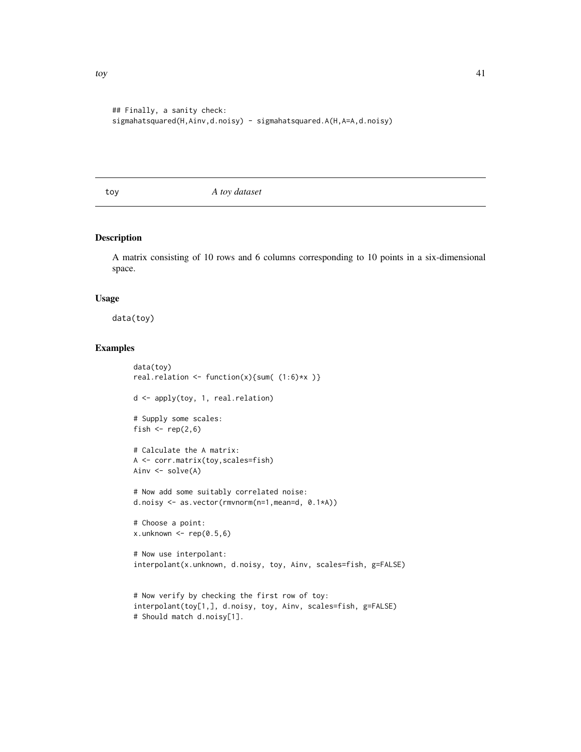```
## Finally, a sanity check:
sigmahatsquared(H,Ainv,d.noisy) - sigmahatsquared.A(H,A=A,d.noisy)
```
toy *A toy dataset*

#### Description

A matrix consisting of 10 rows and 6 columns corresponding to 10 points in a six-dimensional space.

#### Usage

data(toy)

```
data(toy)
real.relation <- function(x){sum( (1:6)*x )}
d <- apply(toy, 1, real.relation)
# Supply some scales:
fish \leftarrow rep(2,6)
# Calculate the A matrix:
A <- corr.matrix(toy,scales=fish)
Ainv <- solve(A)
# Now add some suitably correlated noise:
d.noisy <- as.vector(rmvnorm(n=1,mean=d, 0.1*A))
# Choose a point:
x.unknown \leq rep(0.5,6)
# Now use interpolant:
interpolant(x.unknown, d.noisy, toy, Ainv, scales=fish, g=FALSE)
# Now verify by checking the first row of toy:
interpolant(toy[1,], d.noisy, toy, Ainv, scales=fish, g=FALSE)
# Should match d.noisy[1].
```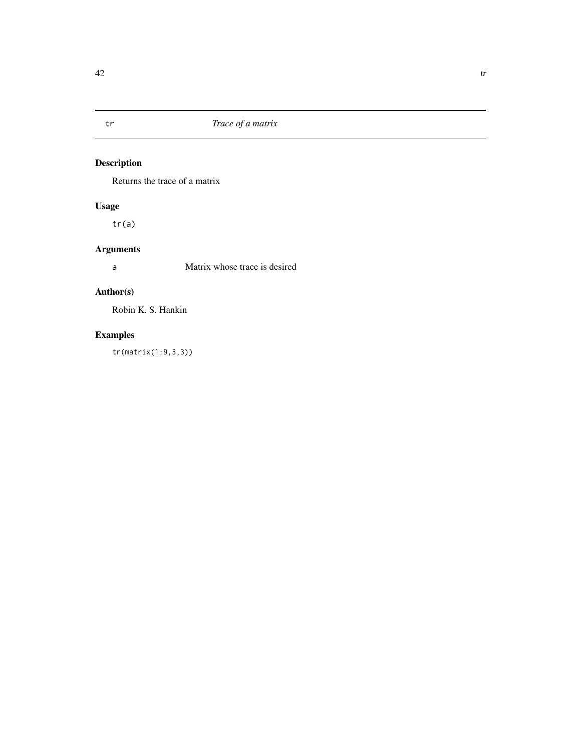<span id="page-41-0"></span>

## Description

Returns the trace of a matrix

## Usage

tr(a)

## Arguments

a Matrix whose trace is desired

## Author(s)

Robin K. S. Hankin

## Examples

tr(matrix(1:9,3,3))